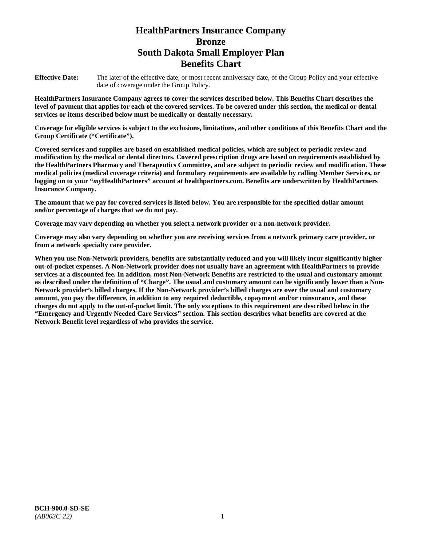# **HealthPartners Insurance Company Bronze South Dakota Small Employer Plan Benefits Chart**

**Effective Date:** The later of the effective date, or most recent anniversary date, of the Group Policy and your effective date of coverage under the Group Policy.

**HealthPartners Insurance Company agrees to cover the services described below. This Benefits Chart describes the level of payment that applies for each of the covered services. To be covered under this section, the medical or dental services or items described below must be medically or dentally necessary.**

**Coverage for eligible services is subject to the exclusions, limitations, and other conditions of this Benefits Chart and the Group Certificate ("Certificate").**

**Covered services and supplies are based on established medical policies, which are subject to periodic review and modification by the medical or dental directors. Covered prescription drugs are based on requirements established by the HealthPartners Pharmacy and Therapeutics Committee, and are subject to periodic review and modification. These medical policies (medical coverage criteria) and formulary requirements are available by calling Member Services, or logging on to your "***my***HealthPartners" account at [healthpartners.com.](file://isntmacsrv0/www.healthpartners.com) Benefits are underwritten by HealthPartners Insurance Company.**

**The amount that we pay for covered services is listed below. You are responsible for the specified dollar amount and/or percentage of charges that we do not pay.**

**Coverage may vary depending on whether you select a network provider or a non-network provider.**

**Coverage may also vary depending on whether you are receiving services from a network primary care provider, or from a network specialty care provider.**

**When you use Non-Network providers, benefits are substantially reduced and you will likely incur significantly higher out-of-pocket expenses. A Non-Network provider does not usually have an agreement with HealthPartners to provide services at a discounted fee. In addition, most Non-Network Benefits are restricted to the usual and customary amount as described under the definition of "Charge". The usual and customary amount can be significantly lower than a Non-Network provider's billed charges. If the Non-Network provider's billed charges are over the usual and customary amount, you pay the difference, in addition to any required deductible, copayment and/or coinsurance, and these charges do not apply to the out-of-pocket limit. The only exceptions to this requirement are described below in the "Emergency and Urgently Needed Care Services" section. This section describes what benefits are covered at the Network Benefit level regardless of who provides the service.**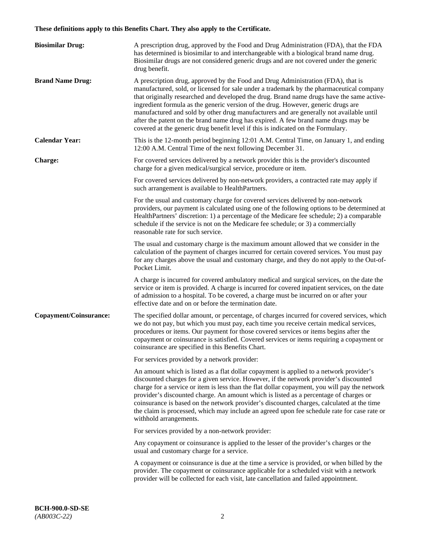# **These definitions apply to this Benefits Chart. They also apply to the Certificate.**

| <b>Biosimilar Drug:</b> | A prescription drug, approved by the Food and Drug Administration (FDA), that the FDA<br>has determined is biosimilar to and interchangeable with a biological brand name drug.<br>Biosimilar drugs are not considered generic drugs and are not covered under the generic<br>drug benefit.                                                                                                                                                                                                                                                                                                                                         |
|-------------------------|-------------------------------------------------------------------------------------------------------------------------------------------------------------------------------------------------------------------------------------------------------------------------------------------------------------------------------------------------------------------------------------------------------------------------------------------------------------------------------------------------------------------------------------------------------------------------------------------------------------------------------------|
| <b>Brand Name Drug:</b> | A prescription drug, approved by the Food and Drug Administration (FDA), that is<br>manufactured, sold, or licensed for sale under a trademark by the pharmaceutical company<br>that originally researched and developed the drug. Brand name drugs have the same active-<br>ingredient formula as the generic version of the drug. However, generic drugs are<br>manufactured and sold by other drug manufacturers and are generally not available until<br>after the patent on the brand name drug has expired. A few brand name drugs may be<br>covered at the generic drug benefit level if this is indicated on the Formulary. |
| <b>Calendar Year:</b>   | This is the 12-month period beginning 12:01 A.M. Central Time, on January 1, and ending<br>12:00 A.M. Central Time of the next following December 31.                                                                                                                                                                                                                                                                                                                                                                                                                                                                               |
| <b>Charge:</b>          | For covered services delivered by a network provider this is the provider's discounted<br>charge for a given medical/surgical service, procedure or item.                                                                                                                                                                                                                                                                                                                                                                                                                                                                           |
|                         | For covered services delivered by non-network providers, a contracted rate may apply if<br>such arrangement is available to HealthPartners.                                                                                                                                                                                                                                                                                                                                                                                                                                                                                         |
|                         | For the usual and customary charge for covered services delivered by non-network<br>providers, our payment is calculated using one of the following options to be determined at<br>HealthPartners' discretion: 1) a percentage of the Medicare fee schedule; 2) a comparable<br>schedule if the service is not on the Medicare fee schedule; or 3) a commercially<br>reasonable rate for such service.                                                                                                                                                                                                                              |
|                         | The usual and customary charge is the maximum amount allowed that we consider in the<br>calculation of the payment of charges incurred for certain covered services. You must pay<br>for any charges above the usual and customary charge, and they do not apply to the Out-of-<br>Pocket Limit.                                                                                                                                                                                                                                                                                                                                    |
|                         | A charge is incurred for covered ambulatory medical and surgical services, on the date the<br>service or item is provided. A charge is incurred for covered inpatient services, on the date<br>of admission to a hospital. To be covered, a charge must be incurred on or after your<br>effective date and on or before the termination date.                                                                                                                                                                                                                                                                                       |
| Copayment/Coinsurance:  | The specified dollar amount, or percentage, of charges incurred for covered services, which<br>we do not pay, but which you must pay, each time you receive certain medical services,<br>procedures or items. Our payment for those covered services or items begins after the<br>copayment or coinsurance is satisfied. Covered services or items requiring a copayment or<br>coinsurance are specified in this Benefits Chart.                                                                                                                                                                                                    |
|                         | For services provided by a network provider:                                                                                                                                                                                                                                                                                                                                                                                                                                                                                                                                                                                        |
|                         | An amount which is listed as a flat dollar copayment is applied to a network provider's<br>discounted charges for a given service. However, if the network provider's discounted<br>charge for a service or item is less than the flat dollar copayment, you will pay the network<br>provider's discounted charge. An amount which is listed as a percentage of charges or<br>coinsurance is based on the network provider's discounted charges, calculated at the time<br>the claim is processed, which may include an agreed upon fee schedule rate for case rate or<br>withhold arrangements.                                    |
|                         | For services provided by a non-network provider:                                                                                                                                                                                                                                                                                                                                                                                                                                                                                                                                                                                    |
|                         | Any copayment or coinsurance is applied to the lesser of the provider's charges or the<br>usual and customary charge for a service.                                                                                                                                                                                                                                                                                                                                                                                                                                                                                                 |
|                         | A copayment or coinsurance is due at the time a service is provided, or when billed by the<br>provider. The copayment or coinsurance applicable for a scheduled visit with a network<br>provider will be collected for each visit, late cancellation and failed appointment.                                                                                                                                                                                                                                                                                                                                                        |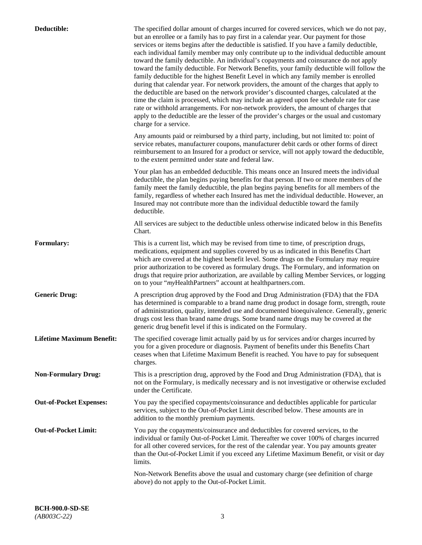| Deductible:                      | The specified dollar amount of charges incurred for covered services, which we do not pay,<br>but an enrollee or a family has to pay first in a calendar year. Our payment for those<br>services or items begins after the deductible is satisfied. If you have a family deductible,<br>each individual family member may only contribute up to the individual deductible amount<br>toward the family deductible. An individual's copayments and coinsurance do not apply<br>toward the family deductible. For Network Benefits, your family deductible will follow the<br>family deductible for the highest Benefit Level in which any family member is enrolled<br>during that calendar year. For network providers, the amount of the charges that apply to<br>the deductible are based on the network provider's discounted charges, calculated at the<br>time the claim is processed, which may include an agreed upon fee schedule rate for case<br>rate or withhold arrangements. For non-network providers, the amount of charges that<br>apply to the deductible are the lesser of the provider's charges or the usual and customary<br>charge for a service. |
|----------------------------------|------------------------------------------------------------------------------------------------------------------------------------------------------------------------------------------------------------------------------------------------------------------------------------------------------------------------------------------------------------------------------------------------------------------------------------------------------------------------------------------------------------------------------------------------------------------------------------------------------------------------------------------------------------------------------------------------------------------------------------------------------------------------------------------------------------------------------------------------------------------------------------------------------------------------------------------------------------------------------------------------------------------------------------------------------------------------------------------------------------------------------------------------------------------------|
|                                  | Any amounts paid or reimbursed by a third party, including, but not limited to: point of<br>service rebates, manufacturer coupons, manufacturer debit cards or other forms of direct<br>reimbursement to an Insured for a product or service, will not apply toward the deductible,<br>to the extent permitted under state and federal law.                                                                                                                                                                                                                                                                                                                                                                                                                                                                                                                                                                                                                                                                                                                                                                                                                            |
|                                  | Your plan has an embedded deductible. This means once an Insured meets the individual<br>deductible, the plan begins paying benefits for that person. If two or more members of the<br>family meet the family deductible, the plan begins paying benefits for all members of the<br>family, regardless of whether each Insured has met the individual deductible. However, an<br>Insured may not contribute more than the individual deductible toward the family<br>deductible.                                                                                                                                                                                                                                                                                                                                                                                                                                                                                                                                                                                                                                                                                       |
|                                  | All services are subject to the deductible unless otherwise indicated below in this Benefits<br>Chart.                                                                                                                                                                                                                                                                                                                                                                                                                                                                                                                                                                                                                                                                                                                                                                                                                                                                                                                                                                                                                                                                 |
| <b>Formulary:</b>                | This is a current list, which may be revised from time to time, of prescription drugs,<br>medications, equipment and supplies covered by us as indicated in this Benefits Chart<br>which are covered at the highest benefit level. Some drugs on the Formulary may require<br>prior authorization to be covered as formulary drugs. The Formulary, and information on<br>drugs that require prior authorization, are available by calling Member Services, or logging<br>on to your "myHealthPartners" account at healthpartners.com.                                                                                                                                                                                                                                                                                                                                                                                                                                                                                                                                                                                                                                  |
| <b>Generic Drug:</b>             | A prescription drug approved by the Food and Drug Administration (FDA) that the FDA<br>has determined is comparable to a brand name drug product in dosage form, strength, route<br>of administration, quality, intended use and documented bioequivalence. Generally, generic<br>drugs cost less than brand name drugs. Some brand name drugs may be covered at the<br>generic drug benefit level if this is indicated on the Formulary.                                                                                                                                                                                                                                                                                                                                                                                                                                                                                                                                                                                                                                                                                                                              |
| <b>Lifetime Maximum Benefit:</b> | The specified coverage limit actually paid by us for services and/or charges incurred by<br>you for a given procedure or diagnosis. Payment of benefits under this Benefits Chart<br>ceases when that Lifetime Maximum Benefit is reached. You have to pay for subsequent<br>charges.                                                                                                                                                                                                                                                                                                                                                                                                                                                                                                                                                                                                                                                                                                                                                                                                                                                                                  |
| <b>Non-Formulary Drug:</b>       | This is a prescription drug, approved by the Food and Drug Administration (FDA), that is<br>not on the Formulary, is medically necessary and is not investigative or otherwise excluded<br>under the Certificate.                                                                                                                                                                                                                                                                                                                                                                                                                                                                                                                                                                                                                                                                                                                                                                                                                                                                                                                                                      |
| <b>Out-of-Pocket Expenses:</b>   | You pay the specified copayments/coinsurance and deductibles applicable for particular<br>services, subject to the Out-of-Pocket Limit described below. These amounts are in<br>addition to the monthly premium payments.                                                                                                                                                                                                                                                                                                                                                                                                                                                                                                                                                                                                                                                                                                                                                                                                                                                                                                                                              |
| <b>Out-of-Pocket Limit:</b>      | You pay the copayments/coinsurance and deductibles for covered services, to the<br>individual or family Out-of-Pocket Limit. Thereafter we cover 100% of charges incurred<br>for all other covered services, for the rest of the calendar year. You pay amounts greater<br>than the Out-of-Pocket Limit if you exceed any Lifetime Maximum Benefit, or visit or day<br>limits.                                                                                                                                                                                                                                                                                                                                                                                                                                                                                                                                                                                                                                                                                                                                                                                         |
|                                  | Non-Network Benefits above the usual and customary charge (see definition of charge<br>above) do not apply to the Out-of-Pocket Limit.                                                                                                                                                                                                                                                                                                                                                                                                                                                                                                                                                                                                                                                                                                                                                                                                                                                                                                                                                                                                                                 |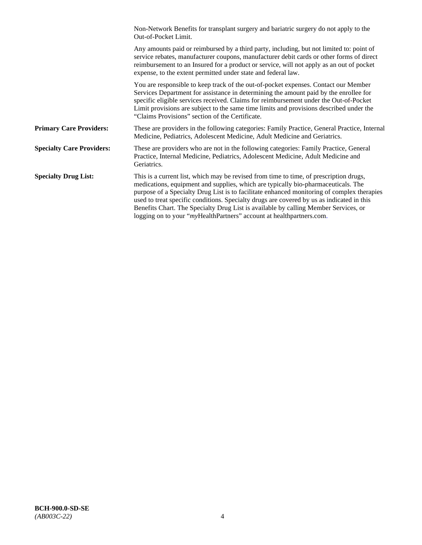|                                  | Non-Network Benefits for transplant surgery and bariatric surgery do not apply to the<br>Out-of-Pocket Limit.                                                                                                                                                                                                                                                                                                                                                                                                                         |
|----------------------------------|---------------------------------------------------------------------------------------------------------------------------------------------------------------------------------------------------------------------------------------------------------------------------------------------------------------------------------------------------------------------------------------------------------------------------------------------------------------------------------------------------------------------------------------|
|                                  | Any amounts paid or reimbursed by a third party, including, but not limited to: point of<br>service rebates, manufacturer coupons, manufacturer debit cards or other forms of direct<br>reimbursement to an Insured for a product or service, will not apply as an out of pocket<br>expense, to the extent permitted under state and federal law.                                                                                                                                                                                     |
|                                  | You are responsible to keep track of the out-of-pocket expenses. Contact our Member<br>Services Department for assistance in determining the amount paid by the enrollee for<br>specific eligible services received. Claims for reimbursement under the Out-of-Pocket<br>Limit provisions are subject to the same time limits and provisions described under the<br>"Claims Provisions" section of the Certificate.                                                                                                                   |
| <b>Primary Care Providers:</b>   | These are providers in the following categories: Family Practice, General Practice, Internal<br>Medicine, Pediatrics, Adolescent Medicine, Adult Medicine and Geriatrics.                                                                                                                                                                                                                                                                                                                                                             |
| <b>Specialty Care Providers:</b> | These are providers who are not in the following categories: Family Practice, General<br>Practice, Internal Medicine, Pediatrics, Adolescent Medicine, Adult Medicine and<br>Geriatrics.                                                                                                                                                                                                                                                                                                                                              |
| <b>Specialty Drug List:</b>      | This is a current list, which may be revised from time to time, of prescription drugs,<br>medications, equipment and supplies, which are typically bio-pharmaceuticals. The<br>purpose of a Specialty Drug List is to facilitate enhanced monitoring of complex therapies<br>used to treat specific conditions. Specialty drugs are covered by us as indicated in this<br>Benefits Chart. The Specialty Drug List is available by calling Member Services, or<br>logging on to your "myHealthPartners" account at healthpartners.com. |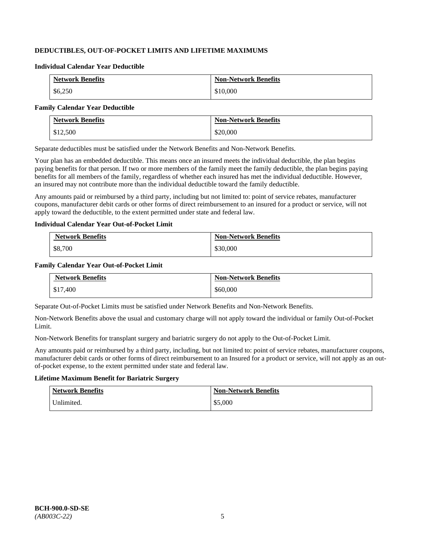# **DEDUCTIBLES, OUT-OF-POCKET LIMITS AND LIFETIME MAXIMUMS**

#### **Individual Calendar Year Deductible**

| <b>Network Benefits</b> | <b>Non-Network Benefits</b> |
|-------------------------|-----------------------------|
| \$6,250                 | \$10,000                    |

#### **Family Calendar Year Deductible**

| <b>Network Benefits</b> | <b>Non-Network Benefits</b> |
|-------------------------|-----------------------------|
| \$12,500                | \$20,000                    |

Separate deductibles must be satisfied under the Network Benefits and Non-Network Benefits.

Your plan has an embedded deductible. This means once an insured meets the individual deductible, the plan begins paying benefits for that person. If two or more members of the family meet the family deductible, the plan begins paying benefits for all members of the family, regardless of whether each insured has met the individual deductible. However, an insured may not contribute more than the individual deductible toward the family deductible.

Any amounts paid or reimbursed by a third party, including but not limited to: point of service rebates, manufacturer coupons, manufacturer debit cards or other forms of direct reimbursement to an insured for a product or service, will not apply toward the deductible, to the extent permitted under state and federal law.

### **Individual Calendar Year Out-of-Pocket Limit**

| <b>Network Benefits</b> | <b>Non-Network Benefits</b> |
|-------------------------|-----------------------------|
| \$8,700                 | \$30,000                    |

### **Family Calendar Year Out-of-Pocket Limit**

| <b>Network Benefits</b> | <b>Non-Network Benefits</b> |
|-------------------------|-----------------------------|
| \$17,400                | \$60,000                    |

Separate Out-of-Pocket Limits must be satisfied under Network Benefits and Non-Network Benefits.

Non-Network Benefits above the usual and customary charge will not apply toward the individual or family Out-of-Pocket Limit.

Non-Network Benefits for transplant surgery and bariatric surgery do not apply to the Out-of-Pocket Limit.

Any amounts paid or reimbursed by a third party, including, but not limited to: point of service rebates, manufacturer coupons, manufacturer debit cards or other forms of direct reimbursement to an Insured for a product or service, will not apply as an outof-pocket expense, to the extent permitted under state and federal law.

# **Lifetime Maximum Benefit for Bariatric Surgery**

| <b>Network Benefits</b> | <b>Non-Network Benefits</b> |
|-------------------------|-----------------------------|
| Unlimited.              | \$5,000                     |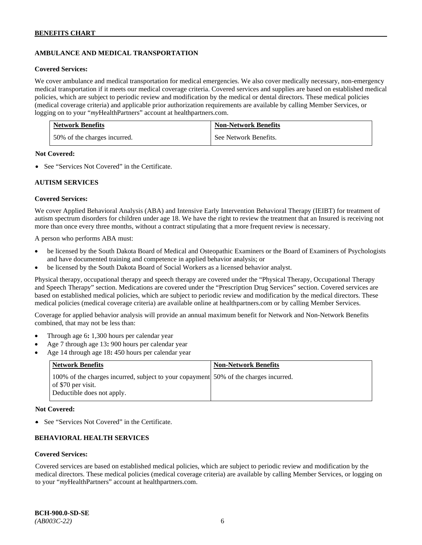# **AMBULANCE AND MEDICAL TRANSPORTATION**

#### **Covered Services:**

We cover ambulance and medical transportation for medical emergencies. We also cover medically necessary, non-emergency medical transportation if it meets our medical coverage criteria. Covered services and supplies are based on established medical policies, which are subject to periodic review and modification by the medical or dental directors. These medical policies (medical coverage criteria) and applicable prior authorization requirements are available by calling Member Services, or logging on to your "*my*HealthPartners" account at [healthpartners.com.](http://healthpartners.com/)

| <b>Network Benefits</b>      | <b>Non-Network Benefits</b> |
|------------------------------|-----------------------------|
| 50% of the charges incurred. | See Network Benefits.       |

### **Not Covered:**

• See "Services Not Covered" in the Certificate.

# **AUTISM SERVICES**

### **Covered Services:**

We cover Applied Behavioral Analysis (ABA) and Intensive Early Intervention Behavioral Therapy (IEIBT) for treatment of autism spectrum disorders for children under age 18. We have the right to review the treatment that an Insured is receiving not more than once every three months, without a contract stipulating that a more frequent review is necessary.

A person who performs ABA must:

- be licensed by the South Dakota Board of Medical and Osteopathic Examiners or the Board of Examiners of Psychologists and have documented training and competence in applied behavior analysis; or
- be licensed by the South Dakota Board of Social Workers as a licensed behavior analyst.

Physical therapy, occupational therapy and speech therapy are covered under the "Physical Therapy, Occupational Therapy and Speech Therapy" section. Medications are covered under the "Prescription Drug Services" section. Covered services are based on established medical policies, which are subject to periodic review and modification by the medical directors. These medical policies (medical coverage criteria) are available online at [healthpartners.com](http://healthpartners.com/) or by calling Member Services.

Coverage for applied behavior analysis will provide an annual maximum benefit for Network and Non-Network Benefits combined, that may not be less than:

- Through age 6**:** 1,300 hours per calendar year
- Age 7 through age 13**:** 900 hours per calendar year
- Age 14 through age 18**:** 450 hours per calendar year

| <b>Network Benefits</b>                                                                                                                  | <b>Non-Network Benefits</b> |
|------------------------------------------------------------------------------------------------------------------------------------------|-----------------------------|
| 100% of the charges incurred, subject to your copayment 50% of the charges incurred.<br>of \$70 per visit.<br>Deductible does not apply. |                             |

### **Not Covered:**

• See "Services Not Covered" in the Certificate.

# **BEHAVIORAL HEALTH SERVICES**

#### **Covered Services:**

Covered services are based on established medical policies, which are subject to periodic review and modification by the medical directors. These medical policies (medical coverage criteria) are available by calling Member Services, or logging on to your "*my*HealthPartners" account at [healthpartners.com.](http://healthpartners.com/)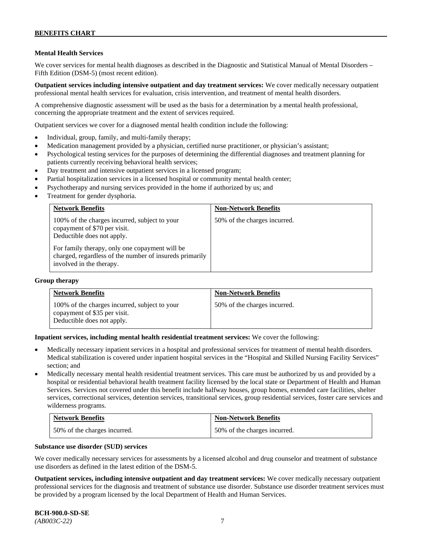# **Mental Health Services**

We cover services for mental health diagnoses as described in the Diagnostic and Statistical Manual of Mental Disorders – Fifth Edition (DSM-5) (most recent edition).

**Outpatient services including intensive outpatient and day treatment services:** We cover medically necessary outpatient professional mental health services for evaluation, crisis intervention, and treatment of mental health disorders.

A comprehensive diagnostic assessment will be used as the basis for a determination by a mental health professional, concerning the appropriate treatment and the extent of services required.

Outpatient services we cover for a diagnosed mental health condition include the following:

- Individual, group, family, and multi-family therapy;
- Medication management provided by a physician, certified nurse practitioner, or physician's assistant;
- Psychological testing services for the purposes of determining the differential diagnoses and treatment planning for patients currently receiving behavioral health services;
- Day treatment and intensive outpatient services in a licensed program;
- Partial hospitalization services in a licensed hospital or community mental health center;
- Psychotherapy and nursing services provided in the home if authorized by us; and
- Treatment for gender dysphoria.

| <b>Network Benefits</b>                                                                                                                                       | <b>Non-Network Benefits</b>  |
|---------------------------------------------------------------------------------------------------------------------------------------------------------------|------------------------------|
| 100% of the charges incurred, subject to your<br>copayment of \$70 per visit.<br>Deductible does not apply.<br>For family therapy, only one copayment will be | 50% of the charges incurred. |
| charged, regardless of the number of insureds primarily<br>involved in the therapy.                                                                           |                              |

#### **Group therapy**

| <b>Network Benefits</b>                                                                                     | <b>Non-Network Benefits</b>  |
|-------------------------------------------------------------------------------------------------------------|------------------------------|
| 100% of the charges incurred, subject to your<br>copayment of \$35 per visit.<br>Deductible does not apply. | 50% of the charges incurred. |

**Inpatient services, including mental health residential treatment services:** We cover the following:

- Medically necessary inpatient services in a hospital and professional services for treatment of mental health disorders. Medical stabilization is covered under inpatient hospital services in the "Hospital and Skilled Nursing Facility Services" section; and
- Medically necessary mental health residential treatment services. This care must be authorized by us and provided by a hospital or residential behavioral health treatment facility licensed by the local state or Department of Health and Human Services. Services not covered under this benefit include halfway houses, group homes, extended care facilities, shelter services, correctional services, detention services, transitional services, group residential services, foster care services and wilderness programs.

| <b>Network Benefits</b>      | <b>Non-Network Benefits</b>  |
|------------------------------|------------------------------|
| 50% of the charges incurred. | 50% of the charges incurred. |

### **Substance use disorder (SUD) services**

We cover medically necessary services for assessments by a licensed alcohol and drug counselor and treatment of substance use disorders as defined in the latest edition of the DSM-5.

**Outpatient services, including intensive outpatient and day treatment services:** We cover medically necessary outpatient professional services for the diagnosis and treatment of substance use disorder. Substance use disorder treatment services must be provided by a program licensed by the local Department of Health and Human Services.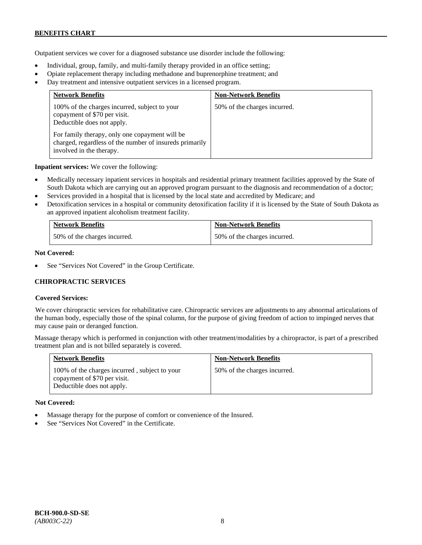### **BENEFITS CHART**

Outpatient services we cover for a diagnosed substance use disorder include the following:

- Individual, group, family, and multi-family therapy provided in an office setting;
- Opiate replacement therapy including methadone and buprenorphine treatment; and
- Day treatment and intensive outpatient services in a licensed program.

| <b>Network Benefits</b>                                                                                                               | <b>Non-Network Benefits</b>  |
|---------------------------------------------------------------------------------------------------------------------------------------|------------------------------|
| 100% of the charges incurred, subject to your<br>copayment of \$70 per visit.<br>Deductible does not apply.                           | 50% of the charges incurred. |
| For family therapy, only one copayment will be<br>charged, regardless of the number of insureds primarily<br>involved in the therapy. |                              |

**Inpatient services:** We cover the following:

- Medically necessary inpatient services in hospitals and residential primary treatment facilities approved by the State of South Dakota which are carrying out an approved program pursuant to the diagnosis and recommendation of a doctor;
- Services provided in a hospital that is licensed by the local state and accredited by Medicare; and
- Detoxification services in a hospital or community detoxification facility if it is licensed by the State of South Dakota as an approved inpatient alcoholism treatment facility.

| <b>Network Benefits</b>      | <b>Non-Network Benefits</b>  |
|------------------------------|------------------------------|
| 50% of the charges incurred. | 50% of the charges incurred. |

### **Not Covered:**

See "Services Not Covered" in the Group Certificate.

# **CHIROPRACTIC SERVICES**

# **Covered Services:**

We cover chiropractic services for rehabilitative care. Chiropractic services are adjustments to any abnormal articulations of the human body, especially those of the spinal column, for the purpose of giving freedom of action to impinged nerves that may cause pain or deranged function.

Massage therapy which is performed in conjunction with other treatment/modalities by a chiropractor, is part of a prescribed treatment plan and is not billed separately is covered.

| <b>Network Benefits</b>                                                                                     | <b>Non-Network Benefits</b>  |
|-------------------------------------------------------------------------------------------------------------|------------------------------|
| 100% of the charges incurred, subject to your<br>copayment of \$70 per visit.<br>Deductible does not apply. | 50% of the charges incurred. |

#### **Not Covered:**

- Massage therapy for the purpose of comfort or convenience of the Insured.
- See "Services Not Covered" in the Certificate.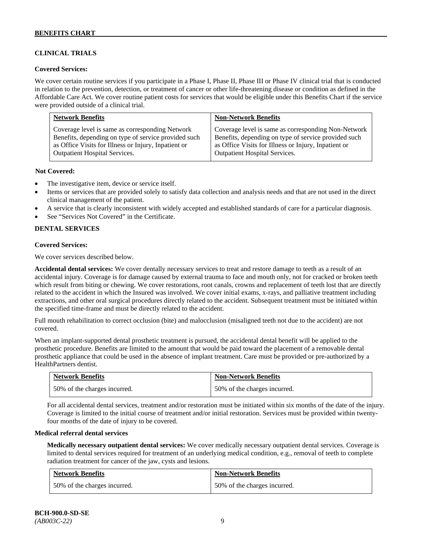# **CLINICAL TRIALS**

### **Covered Services:**

We cover certain routine services if you participate in a Phase I, Phase II, Phase III or Phase IV clinical trial that is conducted in relation to the prevention, detection, or treatment of cancer or other life-threatening disease or condition as defined in the Affordable Care Act. We cover routine patient costs for services that would be eligible under this Benefits Chart if the service were provided outside of a clinical trial.

| <b>Network Benefits</b>                              | <b>Non-Network Benefits</b>                          |
|------------------------------------------------------|------------------------------------------------------|
| Coverage level is same as corresponding Network      | Coverage level is same as corresponding Non-Network  |
| Benefits, depending on type of service provided such | Benefits, depending on type of service provided such |
| as Office Visits for Illness or Injury, Inpatient or | as Office Visits for Illness or Injury, Inpatient or |
| <b>Outpatient Hospital Services.</b>                 | Outpatient Hospital Services.                        |

### **Not Covered:**

- The investigative item, device or service itself.
- Items or services that are provided solely to satisfy data collection and analysis needs and that are not used in the direct clinical management of the patient.
- A service that is clearly inconsistent with widely accepted and established standards of care for a particular diagnosis.
- See "Services Not Covered" in the Certificate.

# **DENTAL SERVICES**

### **Covered Services:**

We cover services described below.

**Accidental dental services:** We cover dentally necessary services to treat and restore damage to teeth as a result of an accidental injury. Coverage is for damage caused by external trauma to face and mouth only, not for cracked or broken teeth which result from biting or chewing. We cover restorations, root canals, crowns and replacement of teeth lost that are directly related to the accident in which the Insured was involved. We cover initial exams, x-rays, and palliative treatment including extractions, and other oral surgical procedures directly related to the accident. Subsequent treatment must be initiated within the specified time-frame and must be directly related to the accident.

Full mouth rehabilitation to correct occlusion (bite) and malocclusion (misaligned teeth not due to the accident) are not covered.

When an implant-supported dental prosthetic treatment is pursued, the accidental dental benefit will be applied to the prosthetic procedure. Benefits are limited to the amount that would be paid toward the placement of a removable dental prosthetic appliance that could be used in the absence of implant treatment. Care must be provided or pre-authorized by a HealthPartners dentist.

| <b>Network Benefits</b>      | <b>Non-Network Benefits</b>  |
|------------------------------|------------------------------|
| 50% of the charges incurred. | 50% of the charges incurred. |

For all accidental dental services, treatment and/or restoration must be initiated within six months of the date of the injury. Coverage is limited to the initial course of treatment and/or initial restoration. Services must be provided within twentyfour months of the date of injury to be covered.

#### **Medical referral dental services**

**Medically necessary outpatient dental services:** We cover medically necessary outpatient dental services. Coverage is limited to dental services required for treatment of an underlying medical condition, e.g., removal of teeth to complete radiation treatment for cancer of the jaw, cysts and lesions.

| <b>Network Benefits</b>      | <b>Non-Network Benefits</b>  |
|------------------------------|------------------------------|
| 50% of the charges incurred. | 50% of the charges incurred. |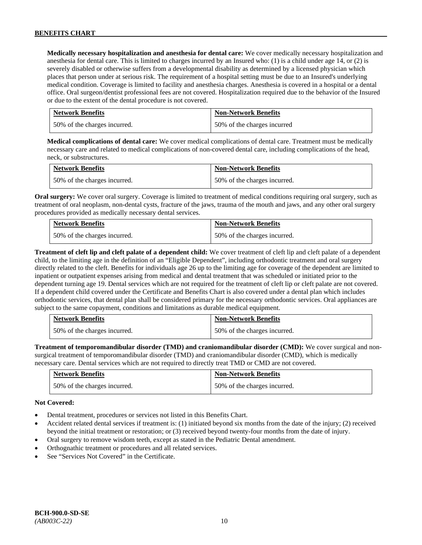**Medically necessary hospitalization and anesthesia for dental care:** We cover medically necessary hospitalization and anesthesia for dental care. This is limited to charges incurred by an Insured who: (1) is a child under age 14, or (2) is severely disabled or otherwise suffers from a developmental disability as determined by a licensed physician which places that person under at serious risk. The requirement of a hospital setting must be due to an Insured's underlying medical condition. Coverage is limited to facility and anesthesia charges. Anesthesia is covered in a hospital or a dental office. Oral surgeon/dentist professional fees are not covered. Hospitalization required due to the behavior of the Insured or due to the extent of the dental procedure is not covered.

| <b>Network Benefits</b>      | <b>Non-Network Benefits</b> |
|------------------------------|-----------------------------|
| 50% of the charges incurred. | 50% of the charges incurred |

**Medical complications of dental care:** We cover medical complications of dental care. Treatment must be medically necessary care and related to medical complications of non-covered dental care, including complications of the head, neck, or substructures.

| <b>Network Benefits</b>      | <b>Non-Network Benefits</b>  |
|------------------------------|------------------------------|
| 50% of the charges incurred. | 50% of the charges incurred. |

**Oral surgery:** We cover oral surgery. Coverage is limited to treatment of medical conditions requiring oral surgery, such as treatment of oral neoplasm, non-dental cysts, fracture of the jaws, trauma of the mouth and jaws, and any other oral surgery procedures provided as medically necessary dental services.

| <b>Network Benefits</b>      | <b>Non-Network Benefits</b>  |
|------------------------------|------------------------------|
| 50% of the charges incurred. | 50% of the charges incurred. |

**Treatment of cleft lip and cleft palate of a dependent child:** We cover treatment of cleft lip and cleft palate of a dependent child, to the limiting age in the definition of an "Eligible Dependent", including orthodontic treatment and oral surgery directly related to the cleft. Benefits for individuals age 26 up to the limiting age for coverage of the dependent are limited to inpatient or outpatient expenses arising from medical and dental treatment that was scheduled or initiated prior to the dependent turning age 19. Dental services which are not required for the treatment of cleft lip or cleft palate are not covered. If a dependent child covered under the Certificate and Benefits Chart is also covered under a dental plan which includes orthodontic services, that dental plan shall be considered primary for the necessary orthodontic services. Oral appliances are subject to the same copayment, conditions and limitations as durable medical equipment.

| <b>Network Benefits</b>      | <b>Non-Network Benefits</b>  |
|------------------------------|------------------------------|
| 50% of the charges incurred. | 50% of the charges incurred. |

**Treatment of temporomandibular disorder (TMD) and craniomandibular disorder (CMD):** We cover surgical and nonsurgical treatment of temporomandibular disorder (TMD) and craniomandibular disorder (CMD), which is medically necessary care. Dental services which are not required to directly treat TMD or CMD are not covered.

| <b>Network Benefits</b>        | <b>Non-Network Benefits</b>  |
|--------------------------------|------------------------------|
| 1.50% of the charges incurred. | 50% of the charges incurred. |

# **Not Covered:**

- Dental treatment, procedures or services not listed in this Benefits Chart.
- Accident related dental services if treatment is: (1) initiated beyond six months from the date of the injury; (2) received beyond the initial treatment or restoration; or (3) received beyond twenty-four months from the date of injury.
- Oral surgery to remove wisdom teeth, except as stated in the Pediatric Dental amendment.
- Orthognathic treatment or procedures and all related services.
- See "Services Not Covered" in the Certificate.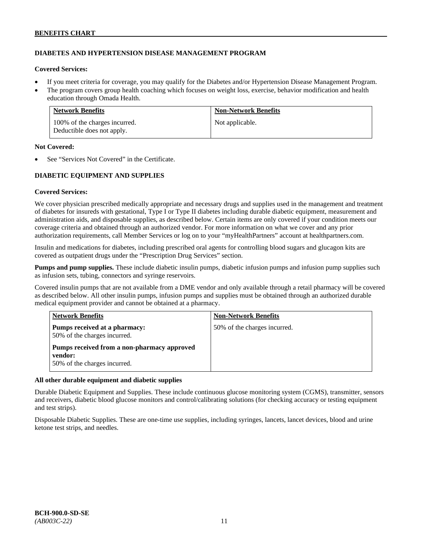# **DIABETES AND HYPERTENSION DISEASE MANAGEMENT PROGRAM**

# **Covered Services:**

- If you meet criteria for coverage, you may qualify for the Diabetes and/or Hypertension Disease Management Program.
- The program covers group health coaching which focuses on weight loss, exercise, behavior modification and health education through Omada Health.

| <b>Network Benefits</b>                                     | <b>Non-Network Benefits</b> |
|-------------------------------------------------------------|-----------------------------|
| 100% of the charges incurred.<br>Deductible does not apply. | Not applicable.             |

# **Not Covered:**

See "Services Not Covered" in the Certificate.

# **DIABETIC EQUIPMENT AND SUPPLIES**

# **Covered Services:**

We cover physician prescribed medically appropriate and necessary drugs and supplies used in the management and treatment of diabetes for insureds with gestational, Type I or Type II diabetes including durable diabetic equipment, measurement and administration aids, and disposable supplies, as described below. Certain items are only covered if your condition meets our coverage criteria and obtained through an authorized vendor. For more information on what we cover and any prior authorization requirements, call Member Services or log on to your "myHealthPartners" account at [healthpartners.com.](http://www.healthpartners.com/)

Insulin and medications for diabetes, including prescribed oral agents for controlling blood sugars and glucagon kits are covered as outpatient drugs under the "Prescription Drug Services" section.

**Pumps and pump supplies.** These include diabetic insulin pumps, diabetic infusion pumps and infusion pump supplies such as infusion sets, tubing, connectors and syringe reservoirs.

Covered insulin pumps that are not available from a DME vendor and only available through a retail pharmacy will be covered as described below. All other insulin pumps, infusion pumps and supplies must be obtained through an authorized durable medical equipment provider and cannot be obtained at a pharmacy.

| <b>Network Benefits</b>                                                                | <b>Non-Network Benefits</b>  |
|----------------------------------------------------------------------------------------|------------------------------|
| Pumps received at a pharmacy:<br>50% of the charges incurred.                          | 50% of the charges incurred. |
| Pumps received from a non-pharmacy approved<br>vendor:<br>50% of the charges incurred. |                              |

# **All other durable equipment and diabetic supplies**

Durable Diabetic Equipment and Supplies. These include continuous glucose monitoring system (CGMS), transmitter, sensors and receivers, diabetic blood glucose monitors and control/calibrating solutions (for checking accuracy or testing equipment and test strips).

Disposable Diabetic Supplies. These are one-time use supplies, including syringes, lancets, lancet devices, blood and urine ketone test strips, and needles.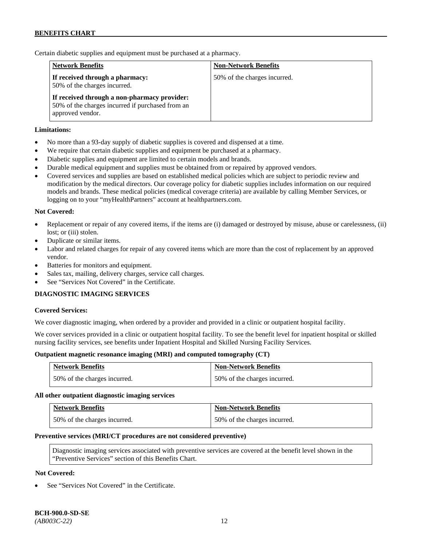Certain diabetic supplies and equipment must be purchased at a pharmacy.

| <b>Network Benefits</b>                                                                                              | <b>Non-Network Benefits</b>  |
|----------------------------------------------------------------------------------------------------------------------|------------------------------|
| If received through a pharmacy:<br>50% of the charges incurred.                                                      | 50% of the charges incurred. |
| If received through a non-pharmacy provider:<br>50% of the charges incurred if purchased from an<br>approved vendor. |                              |

### **Limitations:**

- No more than a 93-day supply of diabetic supplies is covered and dispensed at a time.
- We require that certain diabetic supplies and equipment be purchased at a pharmacy.
- Diabetic supplies and equipment are limited to certain models and brands.
- Durable medical equipment and supplies must be obtained from or repaired by approved vendors.
- Covered services and supplies are based on established medical policies which are subject to periodic review and modification by the medical directors. Our coverage policy for diabetic supplies includes information on our required models and brands. These medical policies (medical coverage criteria) are available by calling Member Services, or logging on to your "myHealthPartners" account at [healthpartners.com.](http://www.healthpartners.com/)

### **Not Covered:**

- Replacement or repair of any covered items, if the items are (i) damaged or destroyed by misuse, abuse or carelessness, (ii) lost; or (iii) stolen.
- Duplicate or similar items.
- Labor and related charges for repair of any covered items which are more than the cost of replacement by an approved vendor.
- Batteries for monitors and equipment.
- Sales tax, mailing, delivery charges, service call charges.
- See "Services Not Covered" in the Certificate.

#### **DIAGNOSTIC IMAGING SERVICES**

#### **Covered Services:**

We cover diagnostic imaging, when ordered by a provider and provided in a clinic or outpatient hospital facility.

We cover services provided in a clinic or outpatient hospital facility. To see the benefit level for inpatient hospital or skilled nursing facility services, see benefits under Inpatient Hospital and Skilled Nursing Facility Services.

#### **Outpatient magnetic resonance imaging (MRI) and computed tomography (CT)**

| <b>Network Benefits</b>      | <b>Non-Network Benefits</b>  |
|------------------------------|------------------------------|
| 50% of the charges incurred. | 50% of the charges incurred. |

#### **All other outpatient diagnostic imaging services**

| <b>Network Benefits</b>      | <b>Non-Network Benefits</b>  |
|------------------------------|------------------------------|
| 50% of the charges incurred. | 50% of the charges incurred. |

#### **Preventive services (MRI/CT procedures are not considered preventive)**

Diagnostic imaging services associated with preventive services are covered at the benefit level shown in the "Preventive Services" section of this Benefits Chart.

### **Not Covered:**

See "Services Not Covered" in the Certificate.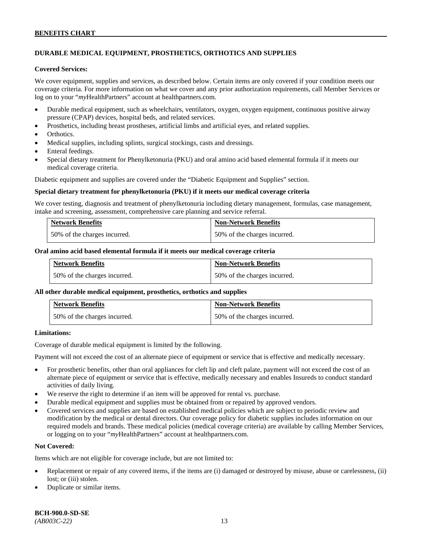### **BENEFITS CHART**

# **DURABLE MEDICAL EQUIPMENT, PROSTHETICS, ORTHOTICS AND SUPPLIES**

#### **Covered Services:**

We cover equipment, supplies and services, as described below. Certain items are only covered if your condition meets our coverage criteria. For more information on what we cover and any prior authorization requirements, call Member Services or log on to your "*my*HealthPartners" account at [healthpartners.com.](http://healthpartners.com/)

- Durable medical equipment, such as wheelchairs, ventilators, oxygen, oxygen equipment, continuous positive airway pressure (CPAP) devices, hospital beds, and related services.
- Prosthetics, including breast prostheses, artificial limbs and artificial eyes, and related supplies.
- Orthotics.
- Medical supplies, including splints, surgical stockings, casts and dressings.
- Enteral feedings.
- Special dietary treatment for Phenylketonuria (PKU) and oral amino acid based elemental formula if it meets our medical coverage criteria.

Diabetic equipment and supplies are covered under the "Diabetic Equipment and Supplies" section.

#### **Special dietary treatment for phenylketonuria (PKU) if it meets our medical coverage criteria**

We cover testing, diagnosis and treatment of phenylketonuria including dietary management, formulas, case management, intake and screening, assessment, comprehensive care planning and service referral.

| <b>Network Benefits</b>      | <b>Non-Network Benefits</b>  |
|------------------------------|------------------------------|
| 50% of the charges incurred. | 50% of the charges incurred. |

#### **Oral amino acid based elemental formula if it meets our medical coverage criteria**

| <b>Network Benefits</b>      | <b>Non-Network Benefits</b>  |
|------------------------------|------------------------------|
| 50% of the charges incurred. | 50% of the charges incurred. |

#### **All other durable medical equipment, prosthetics, orthotics and supplies**

| <b>Network Benefits</b>      | <b>Non-Network Benefits</b>  |
|------------------------------|------------------------------|
| 50% of the charges incurred. | 50% of the charges incurred. |

### **Limitations:**

Coverage of durable medical equipment is limited by the following.

Payment will not exceed the cost of an alternate piece of equipment or service that is effective and medically necessary.

- For prosthetic benefits, other than oral appliances for cleft lip and cleft palate, payment will not exceed the cost of an alternate piece of equipment or service that is effective, medically necessary and enables Insureds to conduct standard activities of daily living.
- We reserve the right to determine if an item will be approved for rental vs. purchase.
- Durable medical equipment and supplies must be obtained from or repaired by approved vendors.
- Covered services and supplies are based on established medical policies which are subject to periodic review and modification by the medical or dental directors. Our coverage policy for diabetic supplies includes information on our required models and brands. These medical policies (medical coverage criteria) are available by calling Member Services, or logging on to your "*my*HealthPartners" account at [healthpartners.com.](http://www.healthpartners.com/)

# **Not Covered:**

Items which are not eligible for coverage include, but are not limited to:

- Replacement or repair of any covered items, if the items are (i) damaged or destroyed by misuse, abuse or carelessness, (ii) lost; or (iii) stolen.
- Duplicate or similar items.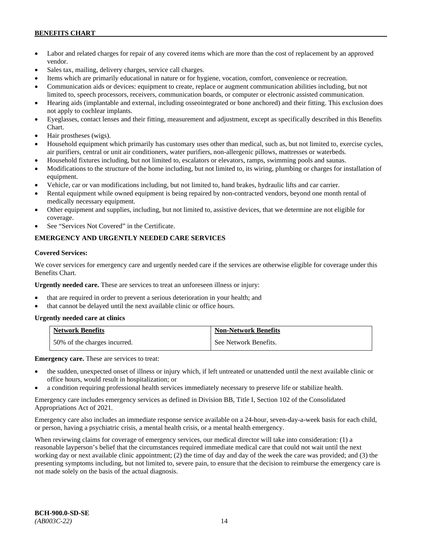# **BENEFITS CHART**

- Labor and related charges for repair of any covered items which are more than the cost of replacement by an approved vendor.
- Sales tax, mailing, delivery charges, service call charges.
- Items which are primarily educational in nature or for hygiene, vocation, comfort, convenience or recreation.
- Communication aids or devices: equipment to create, replace or augment communication abilities including, but not limited to, speech processors, receivers, communication boards, or computer or electronic assisted communication.
- Hearing aids (implantable and external, including osseointegrated or bone anchored) and their fitting. This exclusion does not apply to cochlear implants.
- Eyeglasses, contact lenses and their fitting, measurement and adjustment, except as specifically described in this Benefits Chart.
- Hair prostheses (wigs).
- Household equipment which primarily has customary uses other than medical, such as, but not limited to, exercise cycles, air purifiers, central or unit air conditioners, water purifiers, non-allergenic pillows, mattresses or waterbeds.
- Household fixtures including, but not limited to, escalators or elevators, ramps, swimming pools and saunas.
- Modifications to the structure of the home including, but not limited to, its wiring, plumbing or charges for installation of equipment.
- Vehicle, car or van modifications including, but not limited to, hand brakes, hydraulic lifts and car carrier.
- Rental equipment while owned equipment is being repaired by non-contracted vendors, beyond one month rental of medically necessary equipment.
- Other equipment and supplies, including, but not limited to, assistive devices, that we determine are not eligible for coverage.
- See "Services Not Covered" in the Certificate.

# **EMERGENCY AND URGENTLY NEEDED CARE SERVICES**

#### **Covered Services:**

We cover services for emergency care and urgently needed care if the services are otherwise eligible for coverage under this Benefits Chart.

**Urgently needed care.** These are services to treat an unforeseen illness or injury:

- that are required in order to prevent a serious deterioration in your health; and
- that cannot be delayed until the next available clinic or office hours.

#### **Urgently needed care at clinics**

| <b>Network Benefits</b>      | <b>Non-Network Benefits</b> |
|------------------------------|-----------------------------|
| 50% of the charges incurred. | See Network Benefits.       |

**Emergency care.** These are services to treat:

- the sudden, unexpected onset of illness or injury which, if left untreated or unattended until the next available clinic or office hours, would result in hospitalization; or
- a condition requiring professional health services immediately necessary to preserve life or stabilize health.

Emergency care includes emergency services as defined in Division BB, Title I, Section 102 of the Consolidated Appropriations Act of 2021.

Emergency care also includes an immediate response service available on a 24-hour, seven-day-a-week basis for each child, or person, having a psychiatric crisis, a mental health crisis, or a mental health emergency.

When reviewing claims for coverage of emergency services, our medical director will take into consideration: (1) a reasonable layperson's belief that the circumstances required immediate medical care that could not wait until the next working day or next available clinic appointment; (2) the time of day and day of the week the care was provided; and (3) the presenting symptoms including, but not limited to, severe pain, to ensure that the decision to reimburse the emergency care is not made solely on the basis of the actual diagnosis.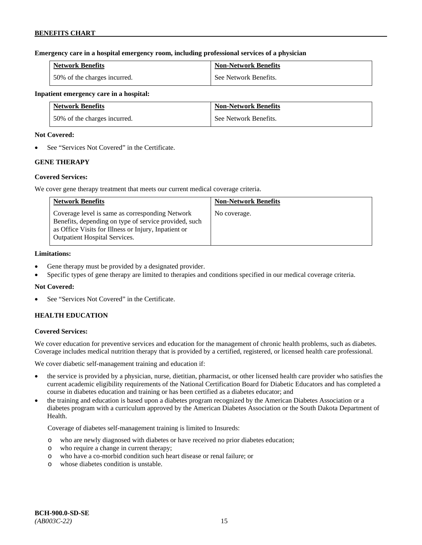### **Emergency care in a hospital emergency room, including professional services of a physician**

| <b>Network Benefits</b>      | <b>Non-Network Benefits</b> |
|------------------------------|-----------------------------|
| 50% of the charges incurred. | See Network Benefits.       |

### **Inpatient emergency care in a hospital:**

| <b>Network Benefits</b>      | <b>Non-Network Benefits</b> |
|------------------------------|-----------------------------|
| 50% of the charges incurred. | See Network Benefits.       |

### **Not Covered:**

See "Services Not Covered" in the Certificate.

# **GENE THERAPY**

# **Covered Services:**

We cover gene therapy treatment that meets our current medical coverage criteria.

| <b>Network Benefits</b>                                                                                                                                                                                  | <b>Non-Network Benefits</b> |
|----------------------------------------------------------------------------------------------------------------------------------------------------------------------------------------------------------|-----------------------------|
| Coverage level is same as corresponding Network<br>Benefits, depending on type of service provided, such<br>as Office Visits for Illness or Injury, Inpatient or<br><b>Outpatient Hospital Services.</b> | No coverage.                |

# **Limitations:**

- Gene therapy must be provided by a designated provider.
- Specific types of gene therapy are limited to therapies and conditions specified in our medical coverage criteria.

# **Not Covered:**

See "Services Not Covered" in the Certificate.

# **HEALTH EDUCATION**

# **Covered Services:**

We cover education for preventive services and education for the management of chronic health problems, such as diabetes. Coverage includes medical nutrition therapy that is provided by a certified, registered, or licensed health care professional.

We cover diabetic self-management training and education if:

- the service is provided by a physician, nurse, dietitian, pharmacist, or other licensed health care provider who satisfies the current academic eligibility requirements of the National Certification Board for Diabetic Educators and has completed a course in diabetes education and training or has been certified as a diabetes educator; and
- the training and education is based upon a diabetes program recognized by the American Diabetes Association or a diabetes program with a curriculum approved by the American Diabetes Association or the South Dakota Department of Health.

Coverage of diabetes self-management training is limited to Insureds:

- o who are newly diagnosed with diabetes or have received no prior diabetes education;
- o who require a change in current therapy;
- o who have a co-morbid condition such heart disease or renal failure; or
- o whose diabetes condition is unstable.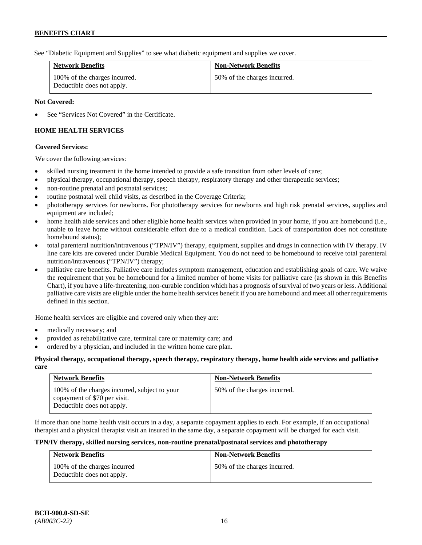See "Diabetic Equipment and Supplies" to see what diabetic equipment and supplies we cover.

| <b>Network Benefits</b>                                     | <b>Non-Network Benefits</b>  |
|-------------------------------------------------------------|------------------------------|
| 100% of the charges incurred.<br>Deductible does not apply. | 50% of the charges incurred. |

### **Not Covered:**

See "Services Not Covered" in the Certificate.

# **HOME HEALTH SERVICES**

### **Covered Services:**

We cover the following services:

- skilled nursing treatment in the home intended to provide a safe transition from other levels of care;
- physical therapy, occupational therapy, speech therapy, respiratory therapy and other therapeutic services;
- non-routine prenatal and postnatal services;
- routine postnatal well child visits, as described in the Coverage Criteria;
- phototherapy services for newborns. For phototherapy services for newborns and high risk prenatal services, supplies and equipment are included;
- home health aide services and other eligible home health services when provided in your home, if you are homebound (i.e., unable to leave home without considerable effort due to a medical condition. Lack of transportation does not constitute homebound status);
- total parenteral nutrition/intravenous ("TPN/IV") therapy, equipment, supplies and drugs in connection with IV therapy. IV line care kits are covered under Durable Medical Equipment. You do not need to be homebound to receive total parenteral nutrition/intravenous ("TPN/IV") therapy;
- palliative care benefits. Palliative care includes symptom management, education and establishing goals of care. We waive the requirement that you be homebound for a limited number of home visits for palliative care (as shown in this Benefits Chart), if you have a life-threatening, non-curable condition which has a prognosis of survival of two years or less. Additional palliative care visits are eligible under the home health services benefit if you are homebound and meet all other requirements defined in this section.

Home health services are eligible and covered only when they are:

- medically necessary; and
- provided as rehabilitative care, terminal care or maternity care; and
- ordered by a physician, and included in the written home care plan.

#### **Physical therapy, occupational therapy, speech therapy, respiratory therapy, home health aide services and palliative care**

| <b>Network Benefits</b>                                                                                     | <b>Non-Network Benefits</b>  |
|-------------------------------------------------------------------------------------------------------------|------------------------------|
| 100% of the charges incurred, subject to your<br>copayment of \$70 per visit.<br>Deductible does not apply. | 50% of the charges incurred. |

If more than one home health visit occurs in a day, a separate copayment applies to each. For example, if an occupational therapist and a physical therapist visit an insured in the same day, a separate copayment will be charged for each visit.

### **TPN/IV therapy, skilled nursing services, non-routine prenatal/postnatal services and phototherapy**

| <b>Network Benefits</b>                                    | <b>Non-Network Benefits</b>  |
|------------------------------------------------------------|------------------------------|
| 100% of the charges incurred<br>Deductible does not apply. | 50% of the charges incurred. |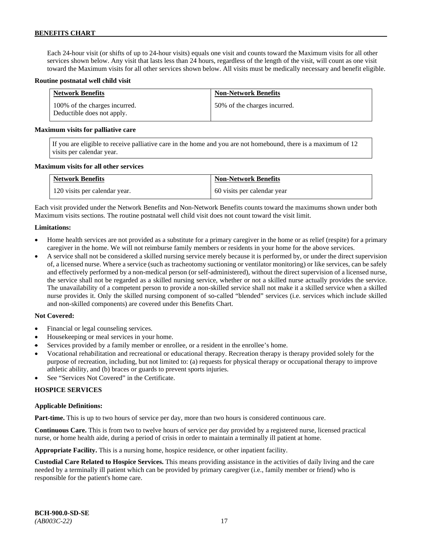Each 24-hour visit (or shifts of up to 24-hour visits) equals one visit and counts toward the Maximum visits for all other services shown below. Any visit that lasts less than 24 hours, regardless of the length of the visit, will count as one visit toward the Maximum visits for all other services shown below. All visits must be medically necessary and benefit eligible.

#### **Routine postnatal well child visit**

| <b>Network Benefits</b>                                     | <b>Non-Network Benefits</b>  |
|-------------------------------------------------------------|------------------------------|
| 100% of the charges incurred.<br>Deductible does not apply. | 50% of the charges incurred. |

#### **Maximum visits for palliative care**

If you are eligible to receive palliative care in the home and you are not homebound, there is a maximum of 12 visits per calendar year.

#### **Maximum visits for all other services**

| <b>Network Benefits</b>       | <b>Non-Network Benefits</b> |
|-------------------------------|-----------------------------|
| 120 visits per calendar year. | 60 visits per calendar year |

Each visit provided under the Network Benefits and Non-Network Benefits counts toward the maximums shown under both Maximum visits sections. The routine postnatal well child visit does not count toward the visit limit.

#### **Limitations:**

- Home health services are not provided as a substitute for a primary caregiver in the home or as relief (respite) for a primary caregiver in the home. We will not reimburse family members or residents in your home for the above services.
- A service shall not be considered a skilled nursing service merely because it is performed by, or under the direct supervision of, a licensed nurse. Where a service (such as tracheotomy suctioning or ventilator monitoring) or like services, can be safely and effectively performed by a non-medical person (or self-administered), without the direct supervision of a licensed nurse, the service shall not be regarded as a skilled nursing service, whether or not a skilled nurse actually provides the service. The unavailability of a competent person to provide a non-skilled service shall not make it a skilled service when a skilled nurse provides it. Only the skilled nursing component of so-called "blended" services (i.e. services which include skilled and non-skilled components) are covered under this Benefits Chart.

#### **Not Covered:**

- Financial or legal counseling services.
- Housekeeping or meal services in your home.
- Services provided by a family member or enrollee, or a resident in the enrollee's home.
- Vocational rehabilitation and recreational or educational therapy. Recreation therapy is therapy provided solely for the purpose of recreation, including, but not limited to: (a) requests for physical therapy or occupational therapy to improve athletic ability, and (b) braces or guards to prevent sports injuries.
- See "Services Not Covered" in the Certificate.

#### **HOSPICE SERVICES**

#### **Applicable Definitions:**

**Part-time.** This is up to two hours of service per day, more than two hours is considered continuous care.

**Continuous Care.** This is from two to twelve hours of service per day provided by a registered nurse, licensed practical nurse, or home health aide, during a period of crisis in order to maintain a terminally ill patient at home.

**Appropriate Facility.** This is a nursing home, hospice residence, or other inpatient facility.

**Custodial Care Related to Hospice Services.** This means providing assistance in the activities of daily living and the care needed by a terminally ill patient which can be provided by primary caregiver (i.e., family member or friend) who is responsible for the patient's home care.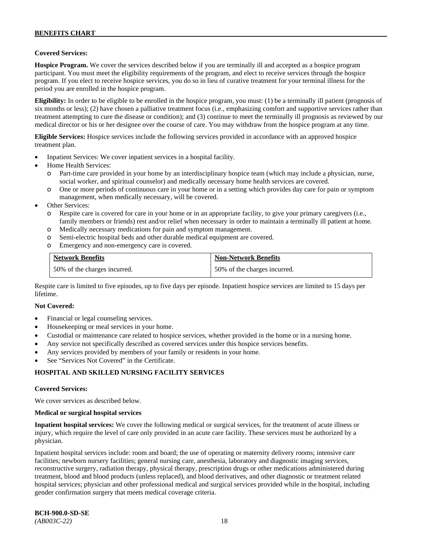# **Covered Services:**

**Hospice Program.** We cover the services described below if you are terminally ill and accepted as a hospice program participant. You must meet the eligibility requirements of the program, and elect to receive services through the hospice program. If you elect to receive hospice services, you do so in lieu of curative treatment for your terminal illness for the period you are enrolled in the hospice program.

**Eligibility:** In order to be eligible to be enrolled in the hospice program, you must: (1) be a terminally ill patient (prognosis of six months or less); (2) have chosen a palliative treatment focus (i.e., emphasizing comfort and supportive services rather than treatment attempting to cure the disease or condition); and (3) continue to meet the terminally ill prognosis as reviewed by our medical director or his or her designee over the course of care. You may withdraw from the hospice program at any time.

**Eligible Services:** Hospice services include the following services provided in accordance with an approved hospice treatment plan.

- Inpatient Services: We cover inpatient services in a hospital facility.
- Home Health Services:
	- Part-time care provided in your home by an interdisciplinary hospice team (which may include a physician, nurse, social worker, and spiritual counselor) and medically necessary home health services are covered.
	- o One or more periods of continuous care in your home or in a setting which provides day care for pain or symptom management, when medically necessary, will be covered.
- Other Services:
	- o Respite care is covered for care in your home or in an appropriate facility, to give your primary caregivers (i.e., family members or friends) rest and/or relief when necessary in order to maintain a terminally ill patient at home*.*
	- o Medically necessary medications for pain and symptom management.
	- o Semi-electric hospital beds and other durable medical equipment are covered.
	- Emergency and non-emergency care is covered.

| <b>Network Benefits</b>      | <b>Non-Network Benefits</b>  |
|------------------------------|------------------------------|
| 50% of the charges incurred. | 50% of the charges incurred. |

Respite care is limited to five episodes, up to five days per episode. Inpatient hospice services are limited to 15 days per lifetime.

#### **Not Covered:**

- Financial or legal counseling services.
- Housekeeping or meal services in your home.
- Custodial or maintenance care related to hospice services, whether provided in the home or in a nursing home.
- Any service not specifically described as covered services under this hospice services benefits.
- Any services provided by members of your family or residents in your home.
- See "Services Not Covered" in the Certificate.

# **HOSPITAL AND SKILLED NURSING FACILITY SERVICES**

#### **Covered Services:**

We cover services as described below.

#### **Medical or surgical hospital services**

**Inpatient hospital services:** We cover the following medical or surgical services, for the treatment of acute illness or injury, which require the level of care only provided in an acute care facility. These services must be authorized by a physician.

Inpatient hospital services include: room and board; the use of operating or maternity delivery rooms; intensive care facilities; newborn nursery facilities; general nursing care, anesthesia, laboratory and diagnostic imaging services, reconstructive surgery, radiation therapy, physical therapy, prescription drugs or other medications administered during treatment, blood and blood products (unless replaced), and blood derivatives, and other diagnostic or treatment related hospital services; physician and other professional medical and surgical services provided while in the hospital, including gender confirmation surgery that meets medical coverage criteria.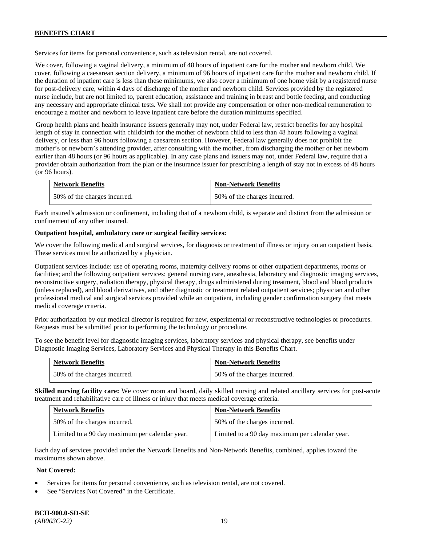Services for items for personal convenience, such as television rental, are not covered.

We cover, following a vaginal delivery, a minimum of 48 hours of inpatient care for the mother and newborn child. We cover, following a caesarean section delivery, a minimum of 96 hours of inpatient care for the mother and newborn child. If the duration of inpatient care is less than these minimums, we also cover a minimum of one home visit by a registered nurse for post-delivery care, within 4 days of discharge of the mother and newborn child. Services provided by the registered nurse include, but are not limited to, parent education, assistance and training in breast and bottle feeding, and conducting any necessary and appropriate clinical tests. We shall not provide any compensation or other non-medical remuneration to encourage a mother and newborn to leave inpatient care before the duration minimums specified.

Group health plans and health insurance issuers generally may not, under Federal law, restrict benefits for any hospital length of stay in connection with childbirth for the mother of newborn child to less than 48 hours following a vaginal delivery, or less than 96 hours following a caesarean section. However, Federal law generally does not prohibit the mother's or newborn's attending provider, after consulting with the mother, from discharging the mother or her newborn earlier than 48 hours (or 96 hours as applicable). In any case plans and issuers may not, under Federal law, require that a provider obtain authorization from the plan or the insurance issuer for prescribing a length of stay not in excess of 48 hours (or 96 hours).

| <b>Network Benefits</b>      | <b>Non-Network Benefits</b>  |
|------------------------------|------------------------------|
| 50% of the charges incurred. | 50% of the charges incurred. |

Each insured's admission or confinement, including that of a newborn child, is separate and distinct from the admission or confinement of any other insured.

# **Outpatient hospital, ambulatory care or surgical facility services:**

We cover the following medical and surgical services, for diagnosis or treatment of illness or injury on an outpatient basis. These services must be authorized by a physician.

Outpatient services include: use of operating rooms, maternity delivery rooms or other outpatient departments, rooms or facilities; and the following outpatient services: general nursing care, anesthesia, laboratory and diagnostic imaging services, reconstructive surgery, radiation therapy, physical therapy, drugs administered during treatment, blood and blood products (unless replaced), and blood derivatives, and other diagnostic or treatment related outpatient services; physician and other professional medical and surgical services provided while an outpatient, including gender confirmation surgery that meets medical coverage criteria.

Prior authorization by our medical director is required for new, experimental or reconstructive technologies or procedures. Requests must be submitted prior to performing the technology or procedure.

To see the benefit level for diagnostic imaging services, laboratory services and physical therapy, see benefits under Diagnostic Imaging Services, Laboratory Services and Physical Therapy in this Benefits Chart.

| <b>Network Benefits</b>      | <b>Non-Network Benefits</b>  |
|------------------------------|------------------------------|
| 50% of the charges incurred. | 50% of the charges incurred. |

**Skilled nursing facility care:** We cover room and board, daily skilled nursing and related ancillary services for post-acute treatment and rehabilitative care of illness or injury that meets medical coverage criteria.

| <b>Network Benefits</b>                        | <b>Non-Network Benefits</b>                    |
|------------------------------------------------|------------------------------------------------|
| 50% of the charges incurred.                   | 50% of the charges incurred.                   |
| Limited to a 90 day maximum per calendar year. | Limited to a 90 day maximum per calendar year. |

Each day of services provided under the Network Benefits and Non-Network Benefits, combined, applies toward the maximums shown above.

# **Not Covered:**

- Services for items for personal convenience, such as television rental, are not covered.
- See "Services Not Covered" in the Certificate.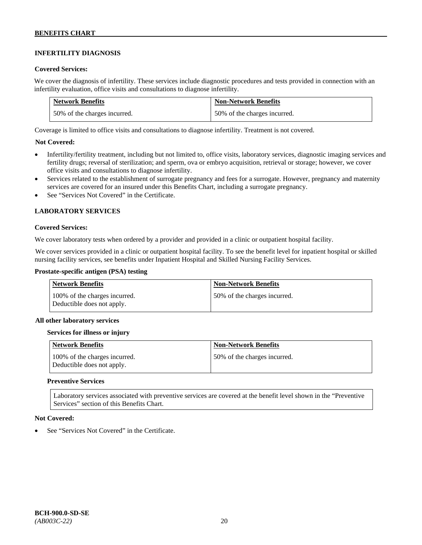# **INFERTILITY DIAGNOSIS**

### **Covered Services:**

We cover the diagnosis of infertility. These services include diagnostic procedures and tests provided in connection with an infertility evaluation, office visits and consultations to diagnose infertility.

| <b>Network Benefits</b>      | <b>Non-Network Benefits</b>  |
|------------------------------|------------------------------|
| 50% of the charges incurred. | 50% of the charges incurred. |

Coverage is limited to office visits and consultations to diagnose infertility. Treatment is not covered.

# **Not Covered:**

- Infertility/fertility treatment, including but not limited to, office visits, laboratory services, diagnostic imaging services and fertility drugs; reversal of sterilization; and sperm, ova or embryo acquisition, retrieval or storage; however, we cover office visits and consultations to diagnose infertility.
- Services related to the establishment of surrogate pregnancy and fees for a surrogate. However, pregnancy and maternity services are covered for an insured under this Benefits Chart, including a surrogate pregnancy.
- See "Services Not Covered" in the Certificate.

# **LABORATORY SERVICES**

#### **Covered Services:**

We cover laboratory tests when ordered by a provider and provided in a clinic or outpatient hospital facility.

We cover services provided in a clinic or outpatient hospital facility. To see the benefit level for inpatient hospital or skilled nursing facility services, see benefits under Inpatient Hospital and Skilled Nursing Facility Services.

### **Prostate-specific antigen (PSA) testing**

| Network Benefits                                            | <b>Non-Network Benefits</b>  |
|-------------------------------------------------------------|------------------------------|
| 100% of the charges incurred.<br>Deductible does not apply. | 50% of the charges incurred. |

#### **All other laboratory services**

#### **Services for illness or injury**

| <b>Network Benefits</b>                                     | <b>Non-Network Benefits</b>  |
|-------------------------------------------------------------|------------------------------|
| 100% of the charges incurred.<br>Deductible does not apply. | 50% of the charges incurred. |

#### **Preventive Services**

Laboratory services associated with preventive services are covered at the benefit level shown in the "Preventive Services" section of this Benefits Chart.

# **Not Covered:**

See "Services Not Covered" in the Certificate.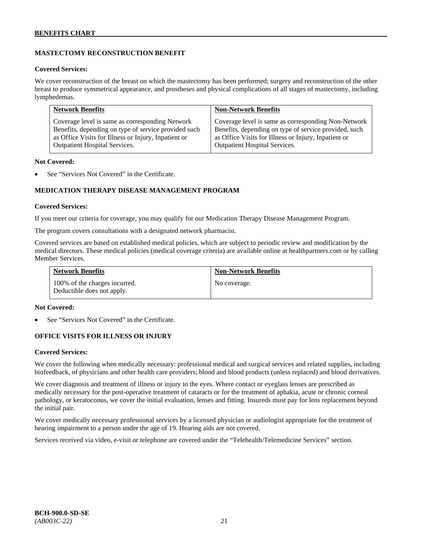# **MASTECTOMY RECONSTRUCTION BENEFIT**

#### **Covered Services:**

We cover reconstruction of the breast on which the mastectomy has been performed; surgery and reconstruction of the other breast to produce symmetrical appearance, and prostheses and physical complications of all stages of mastectomy, including lymphedemas.

| <b>Network Benefits</b>                              | <b>Non-Network Benefits</b>                           |
|------------------------------------------------------|-------------------------------------------------------|
| Coverage level is same as corresponding Network      | Coverage level is same as corresponding Non-Network   |
| Benefits, depending on type of service provided such | Benefits, depending on type of service provided, such |
| as Office Visits for Illness or Injury, Inpatient or | as Office Visits for Illness or Injury, Inpatient or  |
| Outpatient Hospital Services.                        | Outpatient Hospital Services.                         |

### **Not Covered:**

See "Services Not Covered" in the Certificate.

# **MEDICATION THERAPY DISEASE MANAGEMENT PROGRAM**

### **Covered Services:**

If you meet our criteria for coverage, you may qualify for our Medication Therapy Disease Management Program.

The program covers consultations with a designated network pharmacist.

Covered services are based on established medical policies, which are subject to periodic review and modification by the medical directors. These medical policies (medical coverage criteria) are available online at [healthpartners.com](http://www.healthpartners.com/) or by calling Member Services.

| <b>Network Benefits</b>                                     | <b>Non-Network Benefits</b> |
|-------------------------------------------------------------|-----------------------------|
| 100% of the charges incurred.<br>Deductible does not apply. | No coverage.                |

#### **Not Covered:**

See "Services Not Covered" in the Certificate.

# **OFFICE VISITS FOR ILLNESS OR INJURY**

# **Covered Services:**

We cover the following when medically necessary: professional medical and surgical services and related supplies, including biofeedback, of physicians and other health care providers; blood and blood products (unless replaced) and blood derivatives.

We cover diagnosis and treatment of illness or injury to the eyes. Where contact or eyeglass lenses are prescribed as medically necessary for the post-operative treatment of cataracts or for the treatment of aphakia, acute or chronic corneal pathology, or keratoconus, we cover the initial evaluation, lenses and fitting. Insureds must pay for lens replacement beyond the initial pair.

We cover medically necessary professional services by a licensed physician or audiologist appropriate for the treatment of hearing impairment to a person under the age of 19. Hearing aids are not covered.

Services received via video, e-visit or telephone are covered under the "Telehealth/Telemedicine Services" section.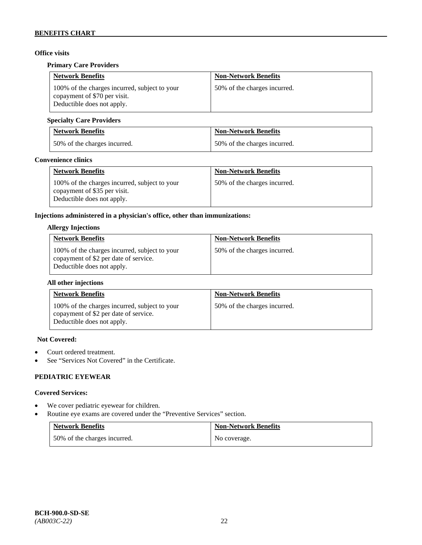# **Office visits**

### **Primary Care Providers**

| <b>Network Benefits</b>                                                                                     | <b>Non-Network Benefits</b>  |
|-------------------------------------------------------------------------------------------------------------|------------------------------|
| 100% of the charges incurred, subject to your<br>copayment of \$70 per visit.<br>Deductible does not apply. | 50% of the charges incurred. |

# **Specialty Care Providers**

| <b>Network Benefits</b>      | <b>Non-Network Benefits</b>  |
|------------------------------|------------------------------|
| 50% of the charges incurred. | 50% of the charges incurred. |

#### **Convenience clinics**

| <b>Network Benefits</b>                                                                                     | <b>Non-Network Benefits</b>  |
|-------------------------------------------------------------------------------------------------------------|------------------------------|
| 100% of the charges incurred, subject to your<br>copayment of \$35 per visit.<br>Deductible does not apply. | 50% of the charges incurred. |

# **Injections administered in a physician's office, other than immunizations:**

#### **Allergy Injections**

| <b>Network Benefits</b>                                                                                              | <b>Non-Network Benefits</b>  |
|----------------------------------------------------------------------------------------------------------------------|------------------------------|
| 100% of the charges incurred, subject to your<br>copayment of \$2 per date of service.<br>Deductible does not apply. | 50% of the charges incurred. |

### **All other injections**

| <b>Network Benefits</b>                                                                                              | <b>Non-Network Benefits</b>  |
|----------------------------------------------------------------------------------------------------------------------|------------------------------|
| 100% of the charges incurred, subject to your<br>copayment of \$2 per date of service.<br>Deductible does not apply. | 50% of the charges incurred. |

#### **Not Covered:**

- Court ordered treatment.
- See "Services Not Covered" in the Certificate.

# **PEDIATRIC EYEWEAR**

#### **Covered Services:**

- We cover pediatric eyewear for children.
- Routine eye exams are covered under the "Preventive Services" section.

| <b>Network Benefits</b>      | <b>Non-Network Benefits</b> |
|------------------------------|-----------------------------|
| 50% of the charges incurred. | No coverage.                |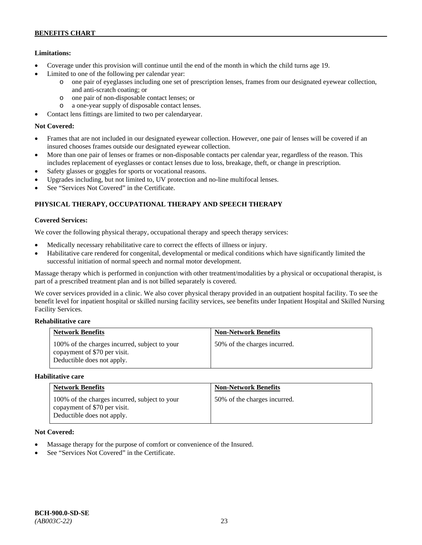# **Limitations:**

- Coverage under this provision will continue until the end of the month in which the child turns age 19.
- Limited to one of the following per calendar year:
	- o one pair of eyeglasses including one set of prescription lenses, frames from our designated eyewear collection, and anti-scratch coating; or
	- o one pair of non-disposable contact lenses; or
	- a one-year supply of disposable contact lenses.
- Contact lens fittings are limited to two per calendaryear.

### **Not Covered:**

- Frames that are not included in our designated eyewear collection. However, one pair of lenses will be covered if an insured chooses frames outside our designated eyewear collection.
- More than one pair of lenses or frames or non-disposable contacts per calendar year, regardless of the reason. This includes replacement of eyeglasses or contact lenses due to loss, breakage, theft, or change in prescription.
- Safety glasses or goggles for sports or vocational reasons.
- Upgrades including, but not limited to, UV protection and no-line multifocal lenses.
- See "Services Not Covered" in the Certificate.

# **PHYSICAL THERAPY, OCCUPATIONAL THERAPY AND SPEECH THERAPY**

### **Covered Services:**

We cover the following physical therapy, occupational therapy and speech therapy services:

- Medically necessary rehabilitative care to correct the effects of illness or injury.
- Habilitative care rendered for congenital, developmental or medical conditions which have significantly limited the successful initiation of normal speech and normal motor development.

Massage therapy which is performed in conjunction with other treatment/modalities by a physical or occupational therapist, is part of a prescribed treatment plan and is not billed separately is covered.

We cover services provided in a clinic. We also cover physical therapy provided in an outpatient hospital facility. To see the benefit level for inpatient hospital or skilled nursing facility services, see benefits under Inpatient Hospital and Skilled Nursing Facility Services.

### **Rehabilitative care**

| <b>Network Benefits</b>                                                                                     | <b>Non-Network Benefits</b>  |
|-------------------------------------------------------------------------------------------------------------|------------------------------|
| 100% of the charges incurred, subject to your<br>copayment of \$70 per visit.<br>Deductible does not apply. | 50% of the charges incurred. |

#### **Habilitative care**

| <b>Network Benefits</b>                                                                                     | <b>Non-Network Benefits</b>  |
|-------------------------------------------------------------------------------------------------------------|------------------------------|
| 100% of the charges incurred, subject to your<br>copayment of \$70 per visit.<br>Deductible does not apply. | 50% of the charges incurred. |

# **Not Covered:**

- Massage therapy for the purpose of comfort or convenience of the Insured.
- See "Services Not Covered" in the Certificate.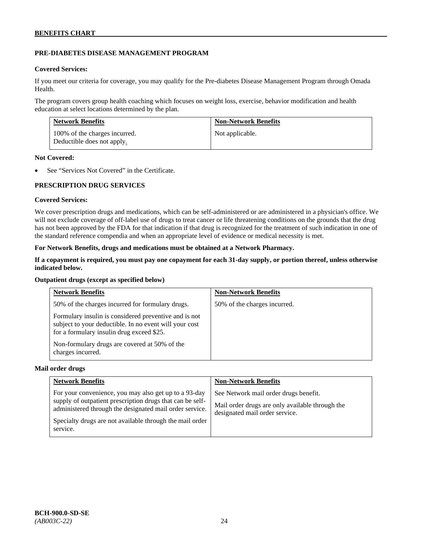# **PRE-DIABETES DISEASE MANAGEMENT PROGRAM**

### **Covered Services:**

If you meet our criteria for coverage, you may qualify for the Pre-diabetes Disease Management Program through Omada Health.

The program covers group health coaching which focuses on weight loss, exercise, behavior modification and health education at select locations determined by the plan.

| <b>Network Benefits</b>                                     | <b>Non-Network Benefits</b> |
|-------------------------------------------------------------|-----------------------------|
| 100% of the charges incurred.<br>Deductible does not apply. | Not applicable.             |

#### **Not Covered:**

See "Services Not Covered" in the Certificate.

# **PRESCRIPTION DRUG SERVICES**

### **Covered Services:**

We cover prescription drugs and medications, which can be self-administered or are administered in a physician's office. We will not exclude coverage of off-label use of drugs to treat cancer or life threatening conditions on the grounds that the drug has not been approved by the FDA for that indication if that drug is recognized for the treatment of such indication in one of the standard reference compendia and when an appropriate level of evidence or medical necessity is met.

### **For Network Benefits, drugs and medications must be obtained at a Network Pharmacy.**

### **If a copayment is required, you must pay one copayment for each 31-day supply, or portion thereof, unless otherwise indicated below.**

#### **Outpatient drugs (except as specified below)**

| <b>Network Benefits</b>                                                                                                                                      | <b>Non-Network Benefits</b>  |
|--------------------------------------------------------------------------------------------------------------------------------------------------------------|------------------------------|
| 50% of the charges incurred for formulary drugs.                                                                                                             | 50% of the charges incurred. |
| Formulary insulin is considered preventive and is not<br>subject to your deductible. In no event will your cost<br>for a formulary insulin drug exceed \$25. |                              |
| Non-formulary drugs are covered at 50% of the<br>charges incurred.                                                                                           |                              |

#### **Mail order drugs**

| <b>Network Benefits</b>                                                                                                                                                                                                                               | <b>Non-Network Benefits</b>                                                                                                |
|-------------------------------------------------------------------------------------------------------------------------------------------------------------------------------------------------------------------------------------------------------|----------------------------------------------------------------------------------------------------------------------------|
| For your convenience, you may also get up to a 93-day<br>supply of outpatient prescription drugs that can be self-<br>administered through the designated mail order service.<br>Specialty drugs are not available through the mail order<br>service. | See Network mail order drugs benefit.<br>Mail order drugs are only available through the<br>designated mail order service. |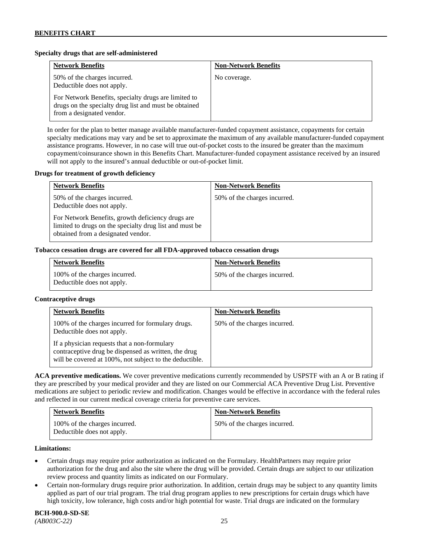### **Specialty drugs that are self-administered**

| <b>Network Benefits</b>                                                                                                                    | <b>Non-Network Benefits</b> |
|--------------------------------------------------------------------------------------------------------------------------------------------|-----------------------------|
| 50% of the charges incurred.<br>Deductible does not apply.                                                                                 | No coverage.                |
| For Network Benefits, specialty drugs are limited to<br>drugs on the specialty drug list and must be obtained<br>from a designated vendor. |                             |

In order for the plan to better manage available manufacturer-funded copayment assistance, copayments for certain specialty medications may vary and be set to approximate the maximum of any available manufacturer-funded copayment assistance programs. However, in no case will true out-of-pocket costs to the insured be greater than the maximum copayment/coinsurance shown in this Benefits Chart. Manufacturer-funded copayment assistance received by an insured will not apply to the insured's annual deductible or out-of-pocket limit.

#### **Drugs for treatment of growth deficiency**

| <b>Network Benefits</b>                                                                                                                            | <b>Non-Network Benefits</b>  |
|----------------------------------------------------------------------------------------------------------------------------------------------------|------------------------------|
| 50% of the charges incurred.<br>Deductible does not apply.                                                                                         | 50% of the charges incurred. |
| For Network Benefits, growth deficiency drugs are<br>limited to drugs on the specialty drug list and must be<br>obtained from a designated vendor. |                              |

#### **Tobacco cessation drugs are covered for all FDA-approved tobacco cessation drugs**

| <b>Network Benefits</b>                                     | <b>Non-Network Benefits</b>  |
|-------------------------------------------------------------|------------------------------|
| 100% of the charges incurred.<br>Deductible does not apply. | 50% of the charges incurred. |

#### **Contraceptive drugs**

| <b>Network Benefits</b>                                                                                                                                         | <b>Non-Network Benefits</b>  |
|-----------------------------------------------------------------------------------------------------------------------------------------------------------------|------------------------------|
| 100% of the charges incurred for formulary drugs.<br>Deductible does not apply.                                                                                 | 50% of the charges incurred. |
| If a physician requests that a non-formulary<br>contraceptive drug be dispensed as written, the drug<br>will be covered at 100%, not subject to the deductible. |                              |

**ACA preventive medications.** We cover preventive medications currently recommended by USPSTF with an A or B rating if they are prescribed by your medical provider and they are listed on our Commercial ACA Preventive Drug List. Preventive medications are subject to periodic review and modification. Changes would be effective in accordance with the federal rules and reflected in our current medical coverage criteria for preventive care services.

| <b>Network Benefits</b>                                     | <b>Non-Network Benefits</b>  |
|-------------------------------------------------------------|------------------------------|
| 100% of the charges incurred.<br>Deductible does not apply. | 50% of the charges incurred. |

#### **Limitations:**

- Certain drugs may require prior authorization as indicated on the Formulary. HealthPartners may require prior authorization for the drug and also the site where the drug will be provided. Certain drugs are subject to our utilization review process and quantity limits as indicated on our Formulary.
- Certain non-formulary drugs require prior authorization. In addition, certain drugs may be subject to any quantity limits applied as part of our trial program. The trial drug program applies to new prescriptions for certain drugs which have high toxicity, low tolerance, high costs and/or high potential for waste. Trial drugs are indicated on the formulary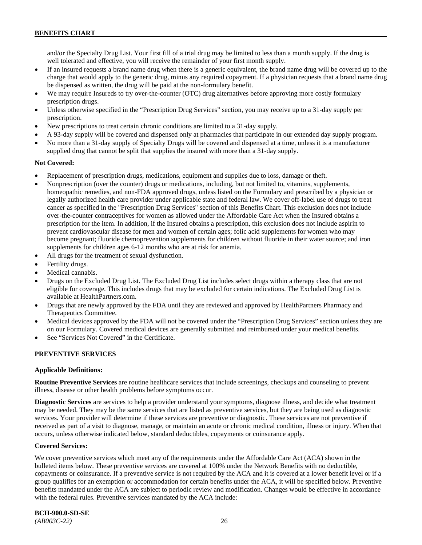and/or the Specialty Drug List. Your first fill of a trial drug may be limited to less than a month supply. If the drug is well tolerated and effective, you will receive the remainder of your first month supply.

- If an insured requests a brand name drug when there is a generic equivalent, the brand name drug will be covered up to the charge that would apply to the generic drug, minus any required copayment. If a physician requests that a brand name drug be dispensed as written, the drug will be paid at the non-formulary benefit.
- We may require Insureds to try over-the-counter (OTC) drug alternatives before approving more costly formulary prescription drugs.
- Unless otherwise specified in the "Prescription Drug Services" section, you may receive up to a 31-day supply per prescription.
- New prescriptions to treat certain chronic conditions are limited to a 31-day supply.
- A 93-day supply will be covered and dispensed only at pharmacies that participate in our extended day supply program.
- No more than a 31-day supply of Specialty Drugs will be covered and dispensed at a time, unless it is a manufacturer supplied drug that cannot be split that supplies the insured with more than a 31-day supply.

### **Not Covered:**

- Replacement of prescription drugs, medications, equipment and supplies due to loss, damage or theft.
- Nonprescription (over the counter) drugs or medications, including, but not limited to, vitamins, supplements, homeopathic remedies, and non-FDA approved drugs, unless listed on the Formulary and prescribed by a physician or legally authorized health care provider under applicable state and federal law. We cover off-label use of drugs to treat cancer as specified in the "Prescription Drug Services" section of this Benefits Chart. This exclusion does not include over-the-counter contraceptives for women as allowed under the Affordable Care Act when the Insured obtains a prescription for the item. In addition, if the Insured obtains a prescription, this exclusion does not include aspirin to prevent cardiovascular disease for men and women of certain ages; folic acid supplements for women who may become pregnant; fluoride chemoprevention supplements for children without fluoride in their water source; and iron supplements for children ages 6-12 months who are at risk for anemia.
- All drugs for the treatment of sexual dysfunction.
- Fertility drugs.
- Medical cannabis.
- Drugs on the Excluded Drug List. The Excluded Drug List includes select drugs within a therapy class that are not eligible for coverage. This includes drugs that may be excluded for certain indications. The Excluded Drug List is available a[t HealthPartners.com.](http://www.healthpartners.com/)
- Drugs that are newly approved by the FDA until they are reviewed and approved by HealthPartners Pharmacy and Therapeutics Committee.
- Medical devices approved by the FDA will not be covered under the "Prescription Drug Services" section unless they are on our Formulary. Covered medical devices are generally submitted and reimbursed under your medical benefits.
- See "Services Not Covered" in the Certificate.

# **PREVENTIVE SERVICES**

#### **Applicable Definitions:**

**Routine Preventive Services** are routine healthcare services that include screenings, checkups and counseling to prevent illness, disease or other health problems before symptoms occur.

**Diagnostic Services** are services to help a provider understand your symptoms, diagnose illness, and decide what treatment may be needed. They may be the same services that are listed as preventive services, but they are being used as diagnostic services. Your provider will determine if these services are preventive or diagnostic. These services are not preventive if received as part of a visit to diagnose, manage, or maintain an acute or chronic medical condition, illness or injury. When that occurs, unless otherwise indicated below, standard deductibles, copayments or coinsurance apply.

#### **Covered Services:**

We cover preventive services which meet any of the requirements under the Affordable Care Act (ACA) shown in the bulleted items below. These preventive services are covered at 100% under the Network Benefits with no deductible, copayments or coinsurance. If a preventive service is not required by the ACA and it is covered at a lower benefit level or if a group qualifies for an exemption or accommodation for certain benefits under the ACA, it will be specified below. Preventive benefits mandated under the ACA are subject to periodic review and modification. Changes would be effective in accordance with the federal rules. Preventive services mandated by the ACA include:

**BCH-900.0-SD-SE**  *(AB003C-22)* 26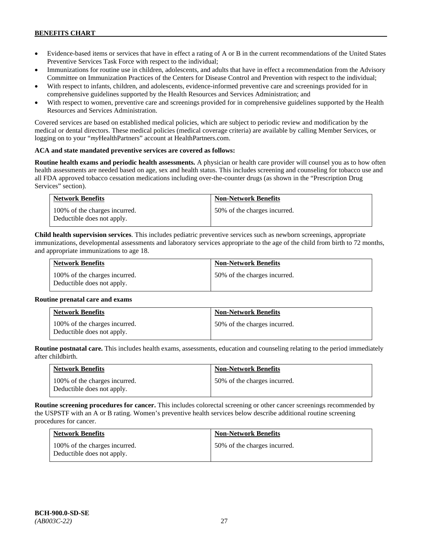- Evidence-based items or services that have in effect a rating of A or B in the current recommendations of the United States Preventive Services Task Force with respect to the individual;
- Immunizations for routine use in children, adolescents, and adults that have in effect a recommendation from the Advisory Committee on Immunization Practices of the Centers for Disease Control and Prevention with respect to the individual;
- With respect to infants, children, and adolescents, evidence-informed preventive care and screenings provided for in comprehensive guidelines supported by the Health Resources and Services Administration; and
- With respect to women, preventive care and screenings provided for in comprehensive guidelines supported by the Health Resources and Services Administration.

Covered services are based on established medical policies, which are subject to periodic review and modification by the medical or dental directors. These medical policies (medical coverage criteria) are available by calling Member Services, or logging on to your "*my*HealthPartners" account at [HealthPartners.com.](http://www.healthpartners.com/)

# **ACA and state mandated preventive services are covered as follows:**

**Routine health exams and periodic health assessments.** A physician or health care provider will counsel you as to how often health assessments are needed based on age, sex and health status. This includes screening and counseling for tobacco use and all FDA approved tobacco cessation medications including over-the-counter drugs (as shown in the "Prescription Drug Services" section).

| <b>Network Benefits</b>                                     | <b>Non-Network Benefits</b>  |
|-------------------------------------------------------------|------------------------------|
| 100% of the charges incurred.<br>Deductible does not apply. | 50% of the charges incurred. |

**Child health supervision services**. This includes pediatric preventive services such as newborn screenings, appropriate immunizations, developmental assessments and laboratory services appropriate to the age of the child from birth to 72 months, and appropriate immunizations to age 18.

| <b>Network Benefits</b>                                     | <b>Non-Network Benefits</b>  |
|-------------------------------------------------------------|------------------------------|
| 100% of the charges incurred.<br>Deductible does not apply. | 50% of the charges incurred. |

#### **Routine prenatal care and exams**

| <b>Network Benefits</b>                                     | <b>Non-Network Benefits</b>  |
|-------------------------------------------------------------|------------------------------|
| 100% of the charges incurred.<br>Deductible does not apply. | 50% of the charges incurred. |

**Routine postnatal care.** This includes health exams, assessments, education and counseling relating to the period immediately after childbirth.

| <b>Network Benefits</b>                                     | <b>Non-Network Benefits</b>  |
|-------------------------------------------------------------|------------------------------|
| 100% of the charges incurred.<br>Deductible does not apply. | 50% of the charges incurred. |

**Routine screening procedures for cancer.** This includes colorectal screening or other cancer screenings recommended by the USPSTF with an A or B rating. Women's preventive health services below describe additional routine screening procedures for cancer.

| <b>Network Benefits</b>                                     | <b>Non-Network Benefits</b>  |
|-------------------------------------------------------------|------------------------------|
| 100% of the charges incurred.<br>Deductible does not apply. | 50% of the charges incurred. |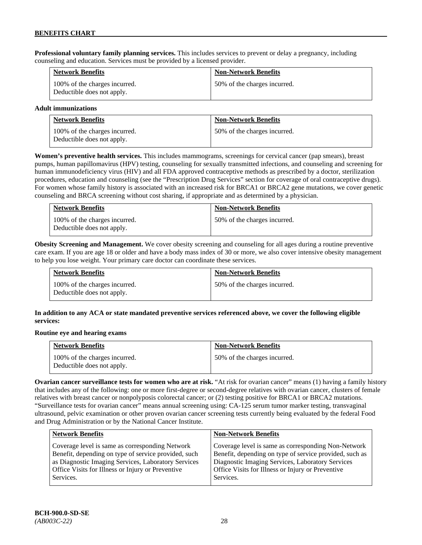**Professional voluntary family planning services.** This includes services to prevent or delay a pregnancy, including counseling and education. Services must be provided by a licensed provider.

| <b>Network Benefits</b>                                     | <b>Non-Network Benefits</b>  |
|-------------------------------------------------------------|------------------------------|
| 100% of the charges incurred.<br>Deductible does not apply. | 50% of the charges incurred. |

### **Adult immunizations**

| <b>Network Benefits</b>                                     | <b>Non-Network Benefits</b>  |
|-------------------------------------------------------------|------------------------------|
| 100% of the charges incurred.<br>Deductible does not apply. | 50% of the charges incurred. |

**Women's preventive health services.** This includes mammograms, screenings for cervical cancer (pap smears), breast pumps, human papillomavirus (HPV) testing, counseling for sexually transmitted infections, and counseling and screening for human immunodeficiency virus (HIV) and all FDA approved contraceptive methods as prescribed by a doctor, sterilization procedures, education and counseling (see the "Prescription Drug Services" section for coverage of oral contraceptive drugs). For women whose family history is associated with an increased risk for BRCA1 or BRCA2 gene mutations, we cover genetic counseling and BRCA screening without cost sharing, if appropriate and as determined by a physician.

| <b>Network Benefits</b>                                     | <b>Non-Network Benefits</b>  |
|-------------------------------------------------------------|------------------------------|
| 100% of the charges incurred.<br>Deductible does not apply. | 50% of the charges incurred. |

**Obesity Screening and Management.** We cover obesity screening and counseling for all ages during a routine preventive care exam. If you are age 18 or older and have a body mass index of 30 or more, we also cover intensive obesity management to help you lose weight. Your primary care doctor can coordinate these services.

| <b>Network Benefits</b>                                     | <b>Non-Network Benefits</b>  |
|-------------------------------------------------------------|------------------------------|
| 100% of the charges incurred.<br>Deductible does not apply. | 50% of the charges incurred. |

# **In addition to any ACA or state mandated preventive services referenced above, we cover the following eligible services:**

#### **Routine eye and hearing exams**

| <b>Network Benefits</b>                                     | <b>Non-Network Benefits</b>  |
|-------------------------------------------------------------|------------------------------|
| 100% of the charges incurred.<br>Deductible does not apply. | 50% of the charges incurred. |

**Ovarian cancer surveillance tests for women who are at risk.** "At risk for ovarian cancer" means (1) having a family history that includes any of the following: one or more first-degree or second-degree relatives with ovarian cancer, clusters of female relatives with breast cancer or nonpolyposis colorectal cancer; or (2) testing positive for BRCA1 or BRCA2 mutations. "Surveillance tests for ovarian cancer" means annual screening using: CA-125 serum tumor marker testing, transvaginal ultrasound, pelvic examination or other proven ovarian cancer screening tests currently being evaluated by the federal Food and Drug Administration or by the National Cancer Institute.

| <b>Network Benefits</b>                              | <b>Non-Network Benefits</b>                             |
|------------------------------------------------------|---------------------------------------------------------|
| Coverage level is same as corresponding Network      | Coverage level is same as corresponding Non-Network     |
| Benefit, depending on type of service provided, such | Benefit, depending on type of service provided, such as |
| as Diagnostic Imaging Services, Laboratory Services  | Diagnostic Imaging Services, Laboratory Services        |
| Office Visits for Illness or Injury or Preventive    | Office Visits for Illness or Injury or Preventive       |
| Services.                                            | Services.                                               |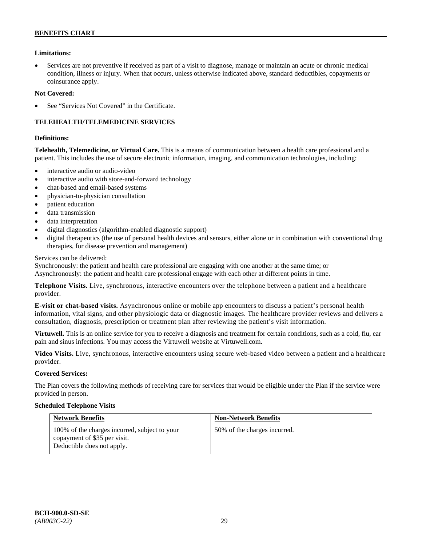### **BENEFITS CHART**

# **Limitations:**

• Services are not preventive if received as part of a visit to diagnose, manage or maintain an acute or chronic medical condition, illness or injury. When that occurs, unless otherwise indicated above, standard deductibles, copayments or coinsurance apply.

### **Not Covered:**

See "Services Not Covered" in the Certificate.

# **TELEHEALTH/TELEMEDICINE SERVICES**

#### **Definitions:**

**Telehealth, Telemedicine, or Virtual Care.** This is a means of communication between a health care professional and a patient. This includes the use of secure electronic information, imaging, and communication technologies, including:

- interactive audio or audio-video
- interactive audio with store-and-forward technology
- chat-based and email-based systems
- physician-to-physician consultation
- patient education
- data transmission
- data interpretation
- digital diagnostics (algorithm-enabled diagnostic support)
- digital therapeutics (the use of personal health devices and sensors, either alone or in combination with conventional drug therapies, for disease prevention and management)

#### Services can be delivered:

Synchronously: the patient and health care professional are engaging with one another at the same time; or Asynchronously: the patient and health care professional engage with each other at different points in time.

**Telephone Visits.** Live, synchronous, interactive encounters over the telephone between a patient and a healthcare provider.

**E-visit or chat-based visits.** Asynchronous online or mobile app encounters to discuss a patient's personal health information, vital signs, and other physiologic data or diagnostic images. The healthcare provider reviews and delivers a consultation, diagnosis, prescription or treatment plan after reviewing the patient's visit information.

**Virtuwell.** This is an online service for you to receive a diagnosis and treatment for certain conditions, such as a cold, flu, ear pain and sinus infections. You may access the Virtuwell website at [Virtuwell.com.](https://www.virtuwell.com/)

**Video Visits.** Live, synchronous, interactive encounters using secure web-based video between a patient and a healthcare provider.

#### **Covered Services:**

The Plan covers the following methods of receiving care for services that would be eligible under the Plan if the service were provided in person.

#### **Scheduled Telephone Visits**

| <b>Network Benefits</b>                                                                                     | <b>Non-Network Benefits</b>  |
|-------------------------------------------------------------------------------------------------------------|------------------------------|
| 100% of the charges incurred, subject to your<br>copayment of \$35 per visit.<br>Deductible does not apply. | 50% of the charges incurred. |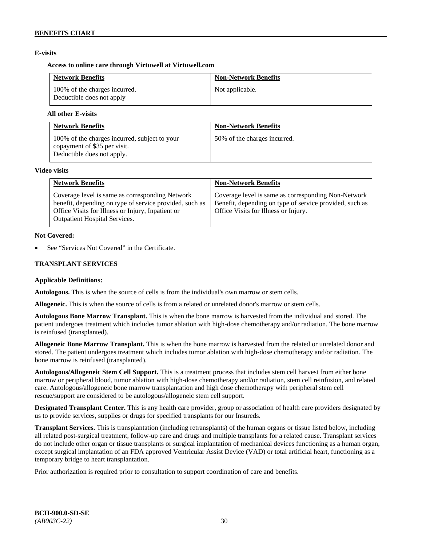# **E-visits**

# **Access to online care through Virtuwell at [Virtuwell.com](http://www.virtuwell.com/)**

| <b>Network Benefits</b>                                    | <b>Non-Network Benefits</b> |
|------------------------------------------------------------|-----------------------------|
| 100% of the charges incurred.<br>Deductible does not apply | Not applicable.             |

### **All other E-visits**

| <b>Network Benefits</b>                                                                                     | <b>Non-Network Benefits</b>  |
|-------------------------------------------------------------------------------------------------------------|------------------------------|
| 100% of the charges incurred, subject to your<br>copayment of \$35 per visit.<br>Deductible does not apply. | 50% of the charges incurred. |

#### **Video visits**

| <b>Network Benefits</b>                                                                                                                                                                                 | <b>Non-Network Benefits</b>                                                                                                                            |
|---------------------------------------------------------------------------------------------------------------------------------------------------------------------------------------------------------|--------------------------------------------------------------------------------------------------------------------------------------------------------|
| Coverage level is same as corresponding Network<br>benefit, depending on type of service provided, such as<br>Office Visits for Illness or Injury, Inpatient or<br><b>Outpatient Hospital Services.</b> | Coverage level is same as corresponding Non-Network<br>Benefit, depending on type of service provided, such as<br>Office Visits for Illness or Injury. |

### **Not Covered:**

See "Services Not Covered" in the Certificate.

# **TRANSPLANT SERVICES**

# **Applicable Definitions:**

**Autologous.** This is when the source of cells is from the individual's own marrow or stem cells.

**Allogeneic.** This is when the source of cells is from a related or unrelated donor's marrow or stem cells.

**Autologous Bone Marrow Transplant.** This is when the bone marrow is harvested from the individual and stored. The patient undergoes treatment which includes tumor ablation with high-dose chemotherapy and/or radiation. The bone marrow is reinfused (transplanted).

**Allogeneic Bone Marrow Transplant.** This is when the bone marrow is harvested from the related or unrelated donor and stored. The patient undergoes treatment which includes tumor ablation with high-dose chemotherapy and/or radiation. The bone marrow is reinfused (transplanted).

**Autologous/Allogeneic Stem Cell Support.** This is a treatment process that includes stem cell harvest from either bone marrow or peripheral blood, tumor ablation with high-dose chemotherapy and/or radiation, stem cell reinfusion, and related care. Autologous/allogeneic bone marrow transplantation and high dose chemotherapy with peripheral stem cell rescue/support are considered to be autologous/allogeneic stem cell support.

**Designated Transplant Center.** This is any health care provider, group or association of health care providers designated by us to provide services, supplies or drugs for specified transplants for our Insureds.

**Transplant Services.** This is transplantation (including retransplants) of the human organs or tissue listed below, including all related post-surgical treatment, follow-up care and drugs and multiple transplants for a related cause. Transplant services do not include other organ or tissue transplants or surgical implantation of mechanical devices functioning as a human organ, except surgical implantation of an FDA approved Ventricular Assist Device (VAD) or total artificial heart, functioning as a temporary bridge to heart transplantation.

Prior authorization is required prior to consultation to support coordination of care and benefits.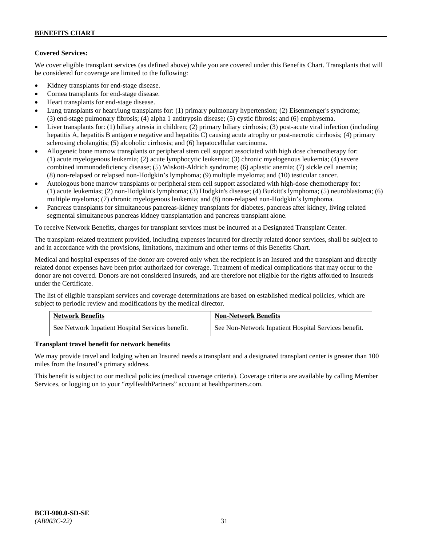# **Covered Services:**

We cover eligible transplant services (as defined above) while you are covered under this Benefits Chart. Transplants that will be considered for coverage are limited to the following:

- Kidney transplants for end-stage disease.
- Cornea transplants for end-stage disease.
- Heart transplants for end-stage disease.
- Lung transplants or heart/lung transplants for: (1) primary pulmonary hypertension; (2) Eisenmenger's syndrome; (3) end-stage pulmonary fibrosis; (4) alpha 1 antitrypsin disease; (5) cystic fibrosis; and (6) emphysema.
- Liver transplants for: (1) biliary atresia in children; (2) primary biliary cirrhosis; (3) post-acute viral infection (including hepatitis A, hepatitis B antigen e negative and hepatitis C) causing acute atrophy or post-necrotic cirrhosis; (4) primary sclerosing cholangitis; (5) alcoholic cirrhosis; and (6) hepatocellular carcinoma.
- Allogeneic bone marrow transplants or peripheral stem cell support associated with high dose chemotherapy for: (1) acute myelogenous leukemia; (2) acute lymphocytic leukemia; (3) chronic myelogenous leukemia; (4) severe combined immunodeficiency disease; (5) Wiskott-Aldrich syndrome; (6) aplastic anemia; (7) sickle cell anemia; (8) non-relapsed or relapsed non-Hodgkin's lymphoma; (9) multiple myeloma; and (10) testicular cancer.
- Autologous bone marrow transplants or peripheral stem cell support associated with high-dose chemotherapy for: (1) acute leukemias; (2) non-Hodgkin's lymphoma; (3) Hodgkin's disease; (4) Burkitt's lymphoma; (5) neuroblastoma; (6) multiple myeloma; (7) chronic myelogenous leukemia; and (8) non-relapsed non-Hodgkin's lymphoma.
- Pancreas transplants for simultaneous pancreas-kidney transplants for diabetes, pancreas after kidney, living related segmental simultaneous pancreas kidney transplantation and pancreas transplant alone.

To receive Network Benefits, charges for transplant services must be incurred at a Designated Transplant Center.

The transplant-related treatment provided, including expenses incurred for directly related donor services, shall be subject to and in accordance with the provisions, limitations, maximum and other terms of this Benefits Chart.

Medical and hospital expenses of the donor are covered only when the recipient is an Insured and the transplant and directly related donor expenses have been prior authorized for coverage. Treatment of medical complications that may occur to the donor are not covered. Donors are not considered Insureds, and are therefore not eligible for the rights afforded to Insureds under the Certificate.

The list of eligible transplant services and coverage determinations are based on established medical policies, which are subject to periodic review and modifications by the medical director.

| <b>Network Benefits</b>                          | <b>Non-Network Benefits</b>                          |
|--------------------------------------------------|------------------------------------------------------|
| See Network Inpatient Hospital Services benefit. | See Non-Network Inpatient Hospital Services benefit. |

# **Transplant travel benefit for network benefits**

We may provide travel and lodging when an Insured needs a transplant and a designated transplant center is greater than 100 miles from the Insured's primary address.

This benefit is subject to our medical policies (medical coverage criteria). Coverage criteria are available by calling Member Services, or logging on to your "*my*HealthPartners" account a[t healthpartners.com.](http://www.healthpartners.com/)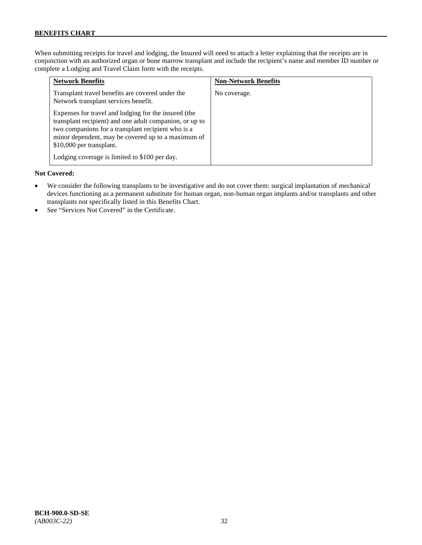# **BENEFITS CHART**

When submitting receipts for travel and lodging, the Insured will need to attach a letter explaining that the receipts are in conjunction with an authorized organ or bone marrow transplant and include the recipient's name and member ID number or complete a Lodging and Travel Claim form with the receipts.

| <b>Network Benefits</b>                                                                                                                                                                                                                                 | <b>Non-Network Benefits</b> |
|---------------------------------------------------------------------------------------------------------------------------------------------------------------------------------------------------------------------------------------------------------|-----------------------------|
| Transplant travel benefits are covered under the<br>Network transplant services benefit.                                                                                                                                                                | No coverage.                |
| Expenses for travel and lodging for the insured (the<br>transplant recipient) and one adult companion, or up to<br>two companions for a transplant recipient who is a<br>minor dependent, may be covered up to a maximum of<br>\$10,000 per transplant. |                             |
| Lodging coverage is limited to \$100 per day.                                                                                                                                                                                                           |                             |

### **Not Covered:**

- We consider the following transplants to be investigative and do not cover them: surgical implantation of mechanical devices functioning as a permanent substitute for human organ, non-human organ implants and/or transplants and other transplants not specifically listed in this Benefits Chart.
- See "Services Not Covered" in the Certificate.